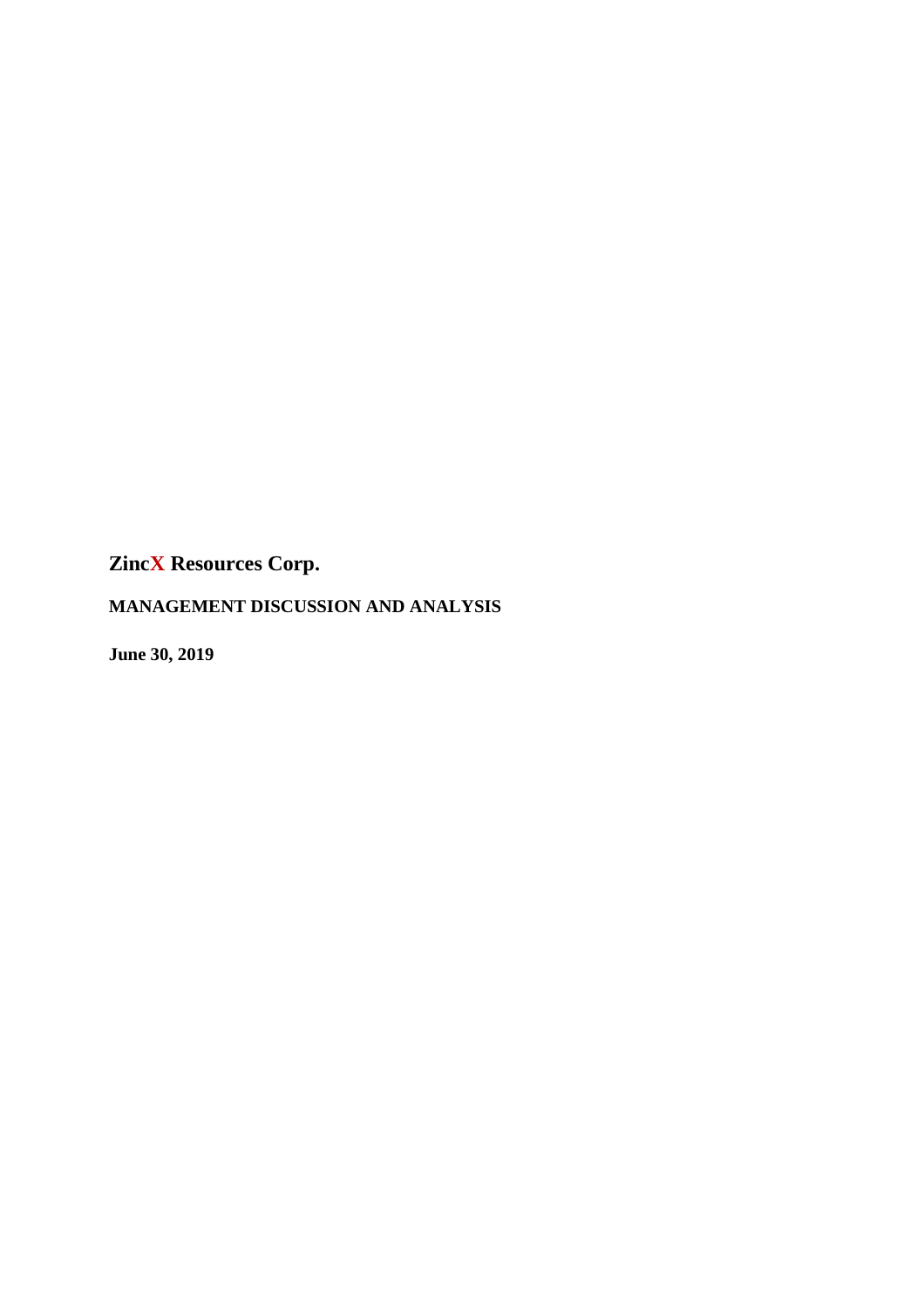**MANAGEMENT DISCUSSION AND ANALYSIS** 

**June 30, 2019**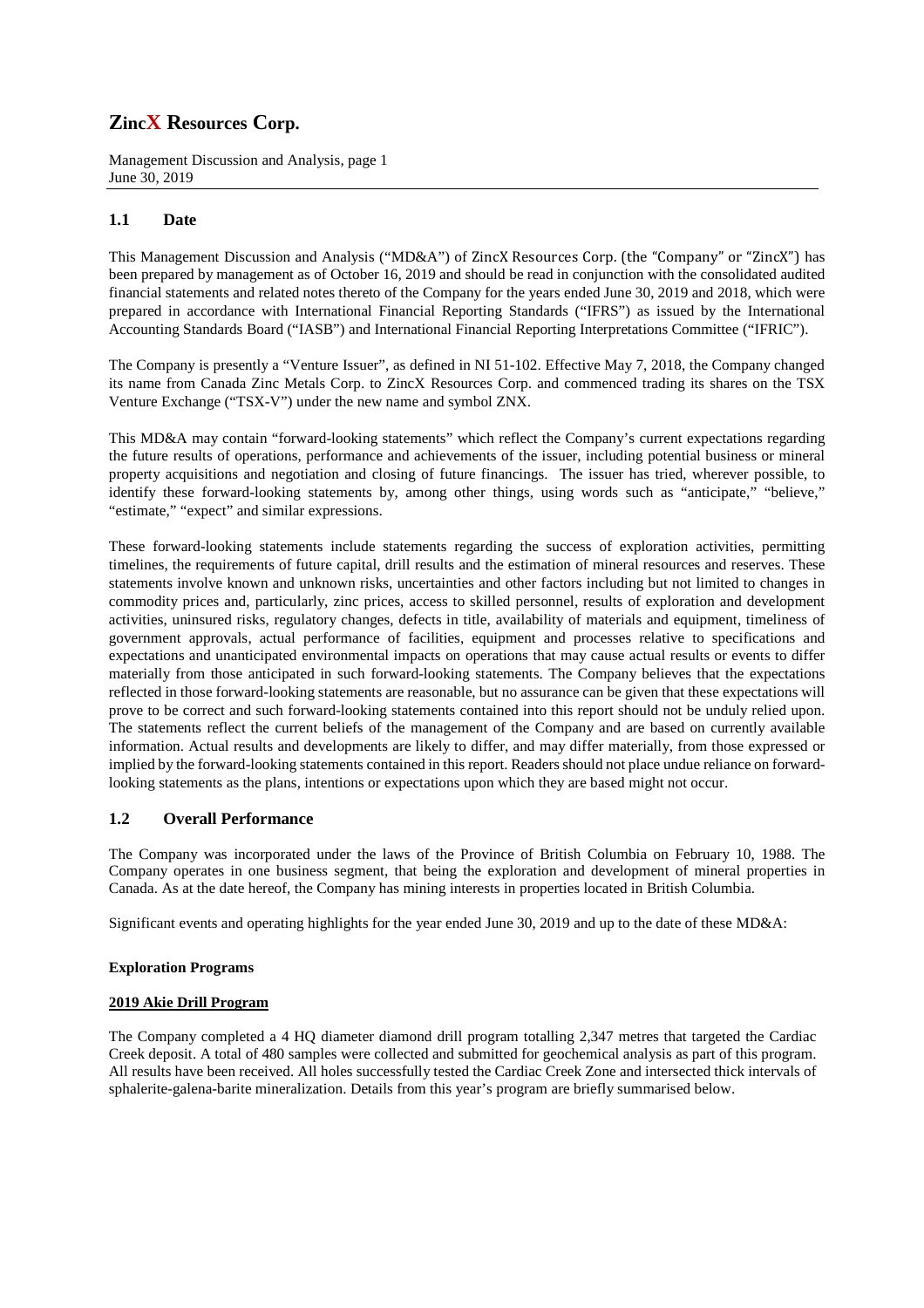Management Discussion and Analysis, page 1 June 30, 2019

## **1.1 Date**

This Management Discussion and Analysis ("MD&A") of ZincX Resources Corp. (the "Company" or "ZincX") has been prepared by management as of October 16, 2019 and should be read in conjunction with the consolidated audited financial statements and related notes thereto of the Company for the years ended June 30, 2019 and 2018, which were prepared in accordance with International Financial Reporting Standards ("IFRS") as issued by the International Accounting Standards Board ("IASB") and International Financial Reporting Interpretations Committee ("IFRIC").

The Company is presently a "Venture Issuer", as defined in NI 51-102. Effective May 7, 2018, the Company changed its name from Canada Zinc Metals Corp. to ZincX Resources Corp. and commenced trading its shares on the TSX Venture Exchange ("TSX-V") under the new name and symbol ZNX.

This MD&A may contain "forward-looking statements" which reflect the Company's current expectations regarding the future results of operations, performance and achievements of the issuer, including potential business or mineral property acquisitions and negotiation and closing of future financings. The issuer has tried, wherever possible, to identify these forward-looking statements by, among other things, using words such as "anticipate," "believe," "estimate," "expect" and similar expressions.

These forward-looking statements include statements regarding the success of exploration activities, permitting timelines, the requirements of future capital, drill results and the estimation of mineral resources and reserves. These statements involve known and unknown risks, uncertainties and other factors including but not limited to changes in commodity prices and, particularly, zinc prices, access to skilled personnel, results of exploration and development activities, uninsured risks, regulatory changes, defects in title, availability of materials and equipment, timeliness of government approvals, actual performance of facilities, equipment and processes relative to specifications and expectations and unanticipated environmental impacts on operations that may cause actual results or events to differ materially from those anticipated in such forward-looking statements. The Company believes that the expectations reflected in those forward-looking statements are reasonable, but no assurance can be given that these expectations will prove to be correct and such forward-looking statements contained into this report should not be unduly relied upon. The statements reflect the current beliefs of the management of the Company and are based on currently available information. Actual results and developments are likely to differ, and may differ materially, from those expressed or implied by the forward-looking statements contained in this report. Readers should not place undue reliance on forwardlooking statements as the plans, intentions or expectations upon which they are based might not occur.

## **1.2 Overall Performance**

The Company was incorporated under the laws of the Province of British Columbia on February 10, 1988. The Company operates in one business segment, that being the exploration and development of mineral properties in Canada. As at the date hereof, the Company has mining interests in properties located in British Columbia.

Significant events and operating highlights for the year ended June 30, 2019 and up to the date of these MD&A:

### **Exploration Programs**

### **2019 Akie Drill Program**

The Company completed a 4 HQ diameter diamond drill program totalling 2,347 metres that targeted the Cardiac Creek deposit. A total of 480 samples were collected and submitted for geochemical analysis as part of this program. All results have been received. All holes successfully tested the Cardiac Creek Zone and intersected thick intervals of sphalerite-galena-barite mineralization. Details from this year's program are briefly summarised below.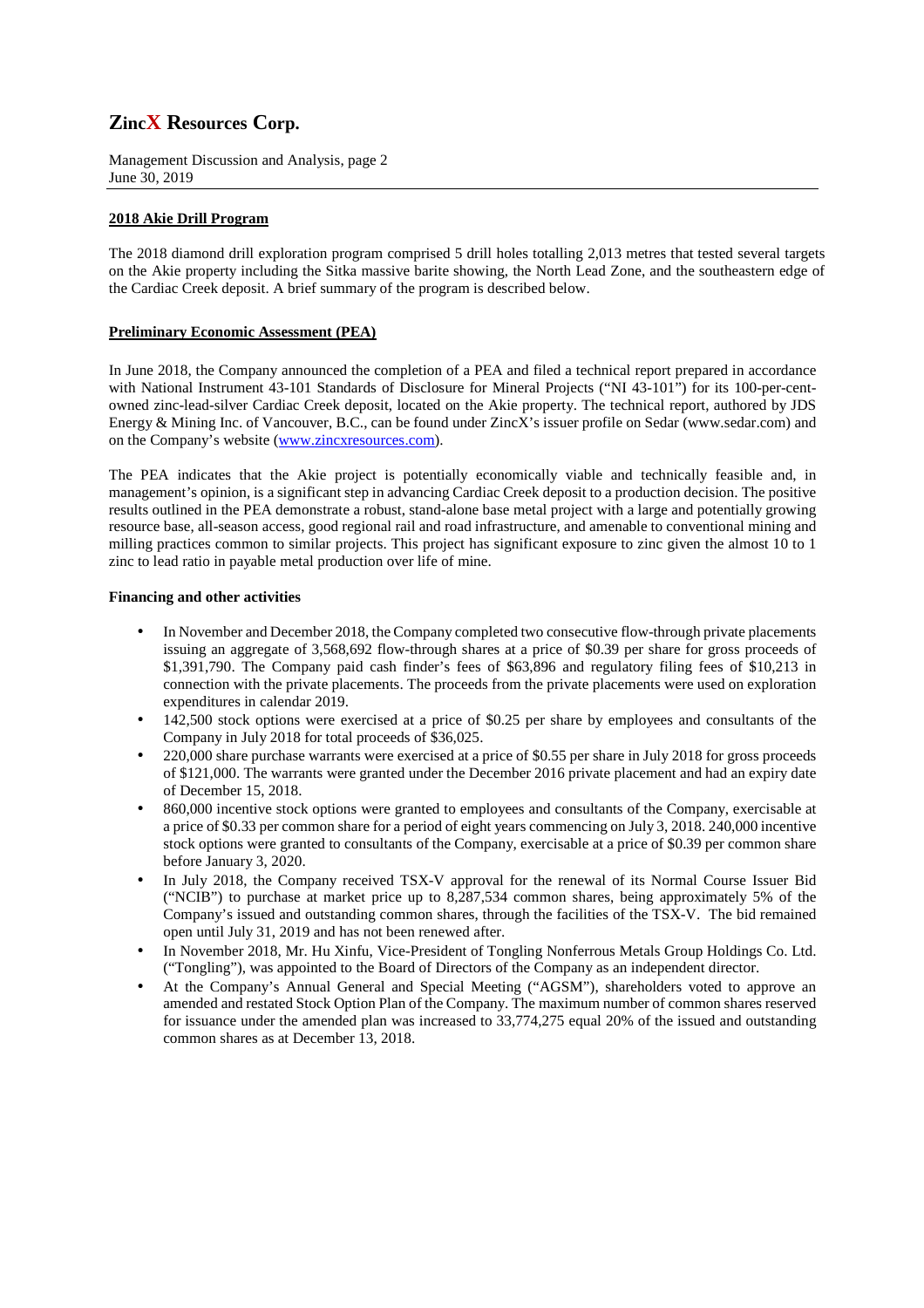Management Discussion and Analysis, page 2 June 30, 2019

## **2018 Akie Drill Program**

The 2018 diamond drill exploration program comprised 5 drill holes totalling 2,013 metres that tested several targets on the Akie property including the Sitka massive barite showing, the North Lead Zone, and the southeastern edge of the Cardiac Creek deposit. A brief summary of the program is described below.

### **Preliminary Economic Assessment (PEA)**

In June 2018, the Company announced the completion of a PEA and filed a technical report prepared in accordance with National Instrument 43-101 Standards of Disclosure for Mineral Projects ("NI 43-101") for its 100-per-centowned zinc-lead-silver Cardiac Creek deposit, located on the Akie property. The technical report, authored by JDS Energy & Mining Inc. of Vancouver, B.C., can be found under ZincX's issuer profile on Sedar (www.sedar.com) and on the Company's website (www.zincxresources.com).

The PEA indicates that the Akie project is potentially economically viable and technically feasible and, in management's opinion, is a significant step in advancing Cardiac Creek deposit to a production decision. The positive results outlined in the PEA demonstrate a robust, stand-alone base metal project with a large and potentially growing resource base, all-season access, good regional rail and road infrastructure, and amenable to conventional mining and milling practices common to similar projects. This project has significant exposure to zinc given the almost 10 to 1 zinc to lead ratio in payable metal production over life of mine.

### **Financing and other activities**

- In November and December 2018, the Company completed two consecutive flow-through private placements issuing an aggregate of 3,568,692 flow-through shares at a price of \$0.39 per share for gross proceeds of \$1,391,790. The Company paid cash finder's fees of \$63,896 and regulatory filing fees of \$10,213 in connection with the private placements. The proceeds from the private placements were used on exploration expenditures in calendar 2019.
- 142,500 stock options were exercised at a price of \$0.25 per share by employees and consultants of the Company in July 2018 for total proceeds of \$36,025.
- 220,000 share purchase warrants were exercised at a price of \$0.55 per share in July 2018 for gross proceeds of \$121,000. The warrants were granted under the December 2016 private placement and had an expiry date of December 15, 2018.
- 860,000 incentive stock options were granted to employees and consultants of the Company, exercisable at a price of \$0.33 per common share for a period of eight years commencing on July 3, 2018. 240,000 incentive stock options were granted to consultants of the Company, exercisable at a price of \$0.39 per common share before January 3, 2020.
- In July 2018, the Company received TSX-V approval for the renewal of its Normal Course Issuer Bid ("NCIB") to purchase at market price up to 8,287,534 common shares, being approximately 5% of the Company's issued and outstanding common shares, through the facilities of the TSX-V. The bid remained open until July 31, 2019 and has not been renewed after.
- In November 2018, Mr. Hu Xinfu, Vice-President of Tongling Nonferrous Metals Group Holdings Co. Ltd. ("Tongling"), was appointed to the Board of Directors of the Company as an independent director.
- At the Company's Annual General and Special Meeting ("AGSM"), shareholders voted to approve an amended and restated Stock Option Plan of the Company. The maximum number of common shares reserved for issuance under the amended plan was increased to 33,774,275 equal 20% of the issued and outstanding common shares as at December 13, 2018.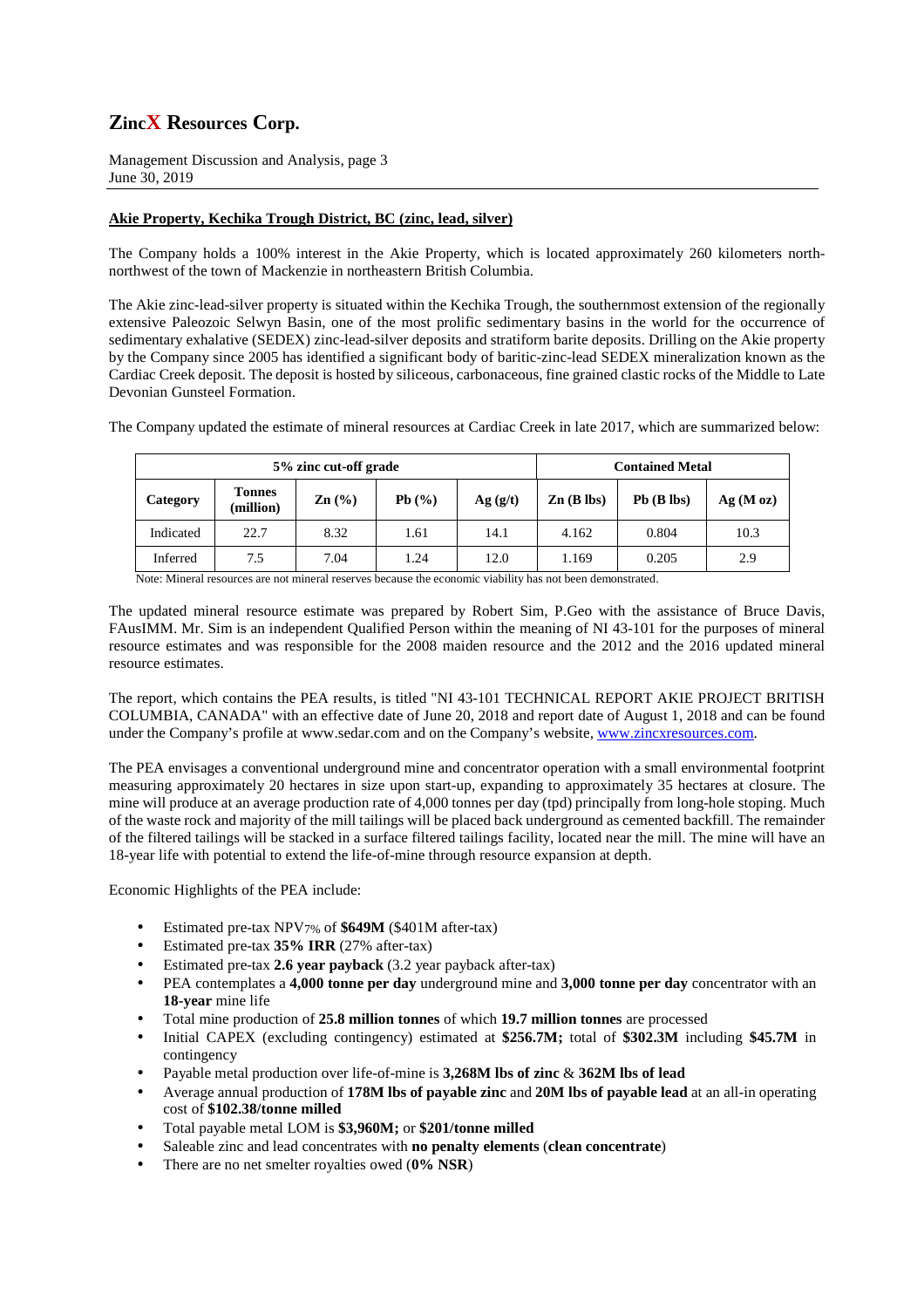Management Discussion and Analysis, page 3 June 30, 2019

## **Akie Property, Kechika Trough District, BC (zinc, lead, silver)**

The Company holds a 100% interest in the Akie Property, which is located approximately 260 kilometers northnorthwest of the town of Mackenzie in northeastern British Columbia.

The Akie zinc-lead-silver property is situated within the Kechika Trough, the southernmost extension of the regionally extensive Paleozoic Selwyn Basin, one of the most prolific sedimentary basins in the world for the occurrence of sedimentary exhalative (SEDEX) zinc-lead-silver deposits and stratiform barite deposits. Drilling on the Akie property by the Company since 2005 has identified a significant body of baritic-zinc-lead SEDEX mineralization known as the Cardiac Creek deposit. The deposit is hosted by siliceous, carbonaceous, fine grained clastic rocks of the Middle to Late Devonian Gunsteel Formation.

The Company updated the estimate of mineral resources at Cardiac Creek in late 2017, which are summarized below:

|           |                            | 5% zinc cut-off grade                  | <b>Contained Metal</b> |         |                       |              |         |
|-----------|----------------------------|----------------------------------------|------------------------|---------|-----------------------|--------------|---------|
| Category  | <b>Tonnes</b><br>(million) | $\text{Zn}$ $\left(\frac{9}{6}\right)$ | Pb(%)                  | Ag(g/t) | $\mathbf{Zn}$ (B lbs) | $Pb$ (B lbs) | Ag(Moz) |
| Indicated | 22.7                       | 8.32                                   | 1.61                   | 14.1    | 4.162                 | 0.804        | 10.3    |
| Inferred  | 7.5                        | 7.04                                   | 1.24                   | 12.0    | 1.169                 | 0.205        | 2.9     |

Note: Mineral resources are not mineral reserves because the economic viability has not been demonstrated.

The updated mineral resource estimate was prepared by Robert Sim, P.Geo with the assistance of Bruce Davis, FAusIMM. Mr. Sim is an independent Qualified Person within the meaning of NI 43-101 for the purposes of mineral resource estimates and was responsible for the 2008 maiden resource and the 2012 and the 2016 updated mineral resource estimates.

The report, which contains the PEA results, is titled "NI 43-101 TECHNICAL REPORT AKIE PROJECT BRITISH COLUMBIA, CANADA" with an effective date of June 20, 2018 and report date of August 1, 2018 and can be found under the Company's profile at www.sedar.com and on the Company's website, www.zincxresources.com.

The PEA envisages a conventional underground mine and concentrator operation with a small environmental footprint measuring approximately 20 hectares in size upon start-up, expanding to approximately 35 hectares at closure. The mine will produce at an average production rate of 4,000 tonnes per day (tpd) principally from long-hole stoping. Much of the waste rock and majority of the mill tailings will be placed back underground as cemented backfill. The remainder of the filtered tailings will be stacked in a surface filtered tailings facility, located near the mill. The mine will have an 18-year life with potential to extend the life-of-mine through resource expansion at depth.

Economic Highlights of the PEA include:

- Estimated pre-tax NPV7% of **\$649M** (\$401M after-tax)
- Estimated pre-tax **35% IRR** (27% after-tax)
- Estimated pre-tax **2.6 year payback** (3.2 year payback after-tax)
- PEA contemplates a **4,000 tonne per day** underground mine and **3,000 tonne per day** concentrator with an **18-year** mine life
- Total mine production of **25.8 million tonnes** of which **19.7 million tonnes** are processed
- Initial CAPEX (excluding contingency) estimated at **\$256.7M;** total of **\$302.3M** including **\$45.7M** in contingency
- Payable metal production over life-of-mine is **3,268M lbs of zinc** & **362M lbs of lead**
- Average annual production of **178M lbs of payable zinc** and **20M lbs of payable lead** at an all-in operating cost of **\$102.38/tonne milled**
- Total payable metal LOM is **\$3,960M;** or **\$201/tonne milled**
- Saleable zinc and lead concentrates with **no penalty elements** (**clean concentrate**)
- There are no net smelter royalties owed (**0% NSR**)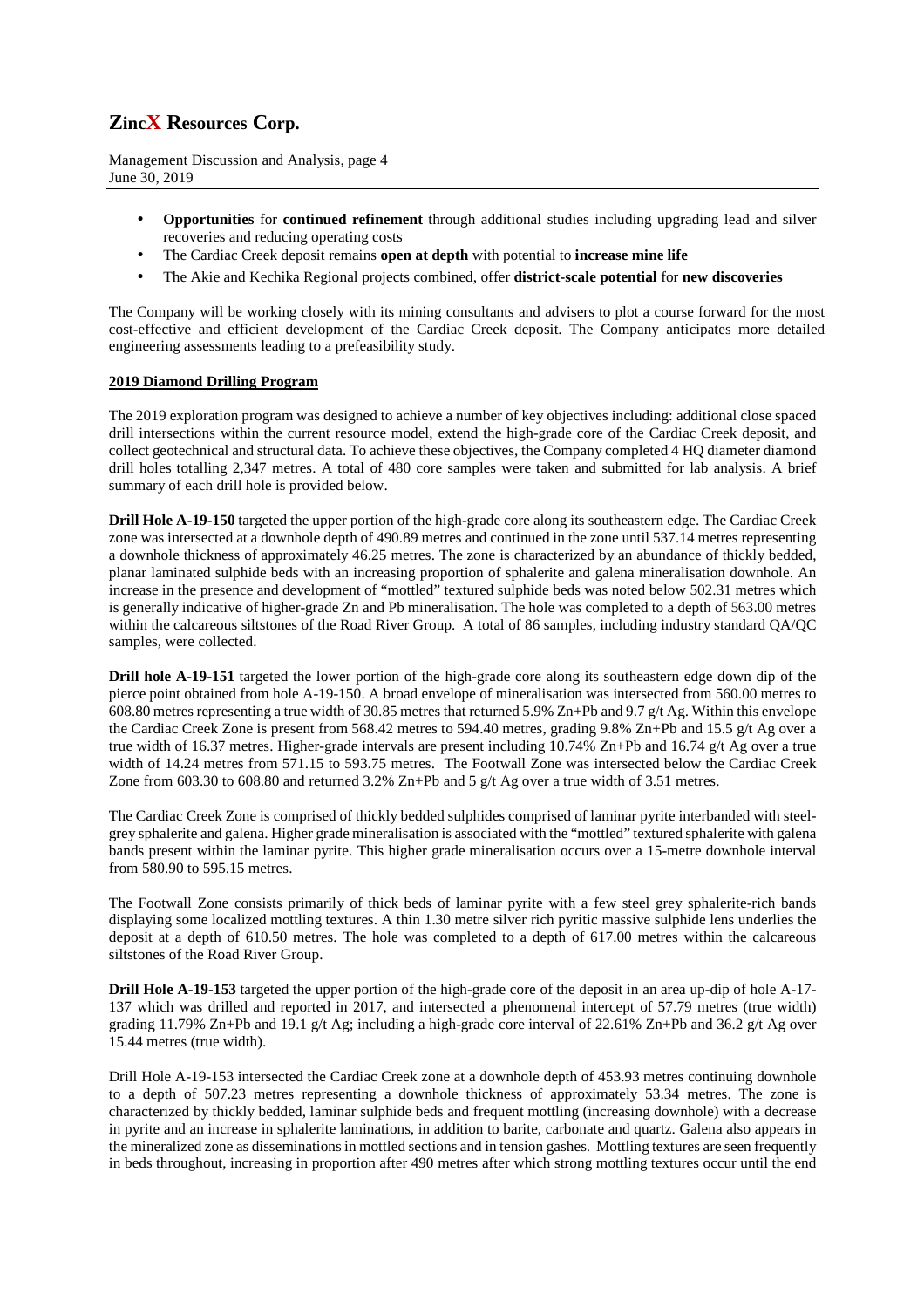Management Discussion and Analysis, page 4 June 30, 2019

- **Opportunities** for **continued refinement** through additional studies including upgrading lead and silver recoveries and reducing operating costs
- The Cardiac Creek deposit remains **open at depth** with potential to **increase mine life**
- The Akie and Kechika Regional projects combined, offer **district-scale potential** for **new discoveries**

The Company will be working closely with its mining consultants and advisers to plot a course forward for the most cost-effective and efficient development of the Cardiac Creek deposit. The Company anticipates more detailed engineering assessments leading to a prefeasibility study.

### **2019 Diamond Drilling Program**

The 2019 exploration program was designed to achieve a number of key objectives including: additional close spaced drill intersections within the current resource model, extend the high-grade core of the Cardiac Creek deposit, and collect geotechnical and structural data. To achieve these objectives, the Company completed 4 HQ diameter diamond drill holes totalling 2,347 metres. A total of 480 core samples were taken and submitted for lab analysis. A brief summary of each drill hole is provided below.

**Drill Hole A-19-150** targeted the upper portion of the high-grade core along its southeastern edge. The Cardiac Creek zone was intersected at a downhole depth of 490.89 metres and continued in the zone until 537.14 metres representing a downhole thickness of approximately 46.25 metres. The zone is characterized by an abundance of thickly bedded, planar laminated sulphide beds with an increasing proportion of sphalerite and galena mineralisation downhole. An increase in the presence and development of "mottled" textured sulphide beds was noted below 502.31 metres which is generally indicative of higher-grade Zn and Pb mineralisation. The hole was completed to a depth of 563.00 metres within the calcareous siltstones of the Road River Group. A total of 86 samples, including industry standard QA/QC samples, were collected.

**Drill hole A-19-151** targeted the lower portion of the high-grade core along its southeastern edge down dip of the pierce point obtained from hole A-19-150. A broad envelope of mineralisation was intersected from 560.00 metres to 608.80 metres representing a true width of 30.85 metres that returned 5.9% Zn+Pb and 9.7 g/t Ag. Within this envelope the Cardiac Creek Zone is present from 568.42 metres to 594.40 metres, grading 9.8% Zn+Pb and 15.5 g/t Ag over a true width of 16.37 metres. Higher-grade intervals are present including 10.74% Zn+Pb and 16.74 g/t Ag over a true width of 14.24 metres from 571.15 to 593.75 metres. The Footwall Zone was intersected below the Cardiac Creek Zone from 603.30 to 608.80 and returned  $3.2\%$  Zn+Pb and 5 g/t Ag over a true width of 3.51 metres.

The Cardiac Creek Zone is comprised of thickly bedded sulphides comprised of laminar pyrite interbanded with steelgrey sphalerite and galena. Higher grade mineralisation is associated with the "mottled" textured sphalerite with galena bands present within the laminar pyrite. This higher grade mineralisation occurs over a 15-metre downhole interval from 580.90 to 595.15 metres.

The Footwall Zone consists primarily of thick beds of laminar pyrite with a few steel grey sphalerite-rich bands displaying some localized mottling textures. A thin 1.30 metre silver rich pyritic massive sulphide lens underlies the deposit at a depth of 610.50 metres. The hole was completed to a depth of 617.00 metres within the calcareous siltstones of the Road River Group.

**Drill Hole A-19-153** targeted the upper portion of the high-grade core of the deposit in an area up-dip of hole A-17-137 which was drilled and reported in 2017, and intersected a phenomenal intercept of 57.79 metres (true width) grading 11.79% Zn+Pb and 19.1 g/t Ag; including a high-grade core interval of 22.61% Zn+Pb and 36.2 g/t Ag over 15.44 metres (true width).

Drill Hole A-19-153 intersected the Cardiac Creek zone at a downhole depth of 453.93 metres continuing downhole to a depth of 507.23 metres representing a downhole thickness of approximately 53.34 metres. The zone is characterized by thickly bedded, laminar sulphide beds and frequent mottling (increasing downhole) with a decrease in pyrite and an increase in sphalerite laminations, in addition to barite, carbonate and quartz. Galena also appears in the mineralized zone as disseminations in mottled sections and in tension gashes. Mottling textures are seen frequently in beds throughout, increasing in proportion after 490 metres after which strong mottling textures occur until the end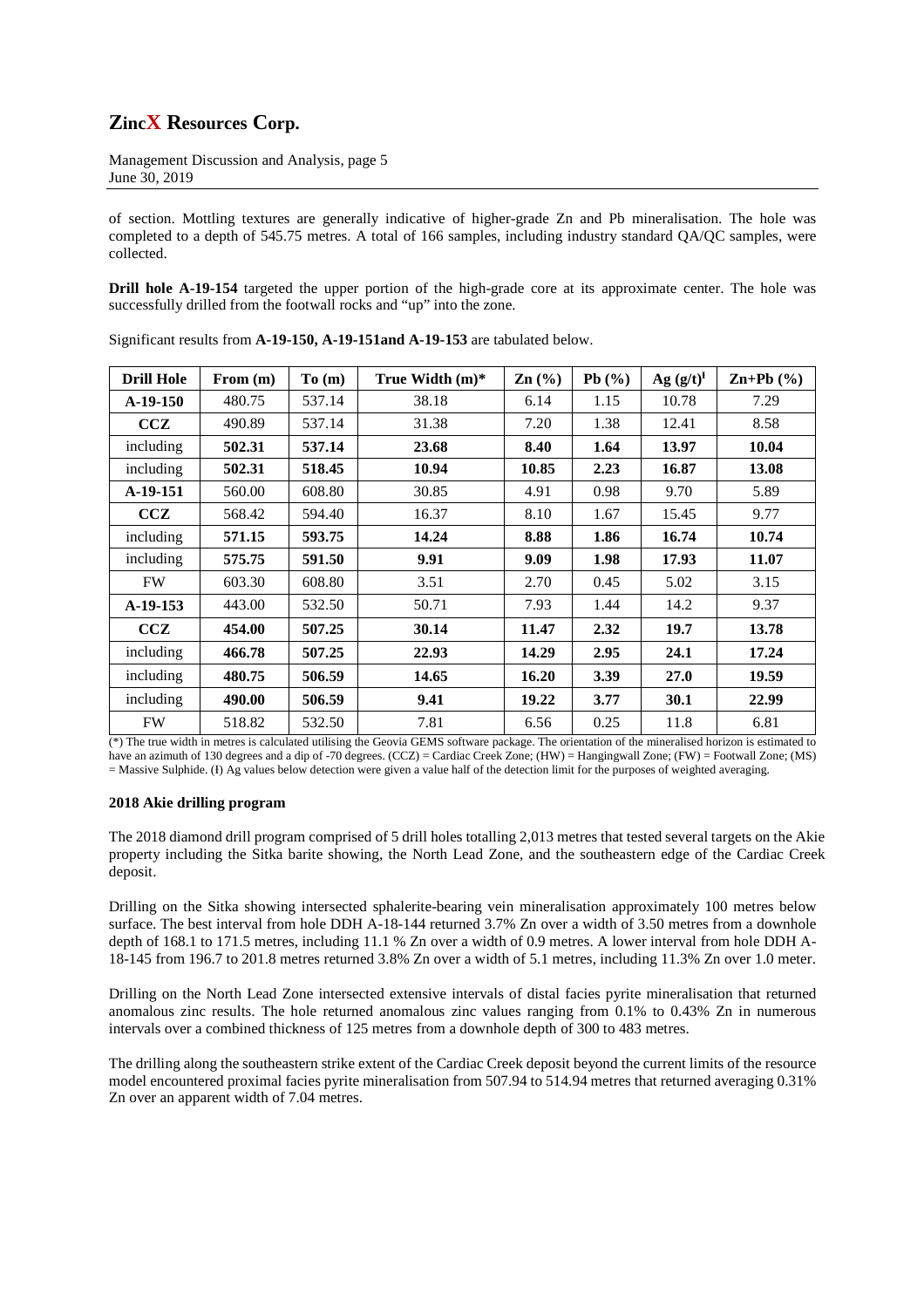Management Discussion and Analysis, page 5 June 30, 2019

of section. Mottling textures are generally indicative of higher-grade Zn and Pb mineralisation. The hole was completed to a depth of 545.75 metres. A total of 166 samples, including industry standard QA/QC samples, were collected.

**Drill hole A-19-154** targeted the upper portion of the high-grade core at its approximate center. The hole was successfully drilled from the footwall rocks and "up" into the zone.

| <b>Drill Hole</b> | From $(m)$ | To (m) | True Width $(m)^*$ | $\mathbf{Zn}$ (%) | Pb(%) | Ag $(g/t)^{f}$ | $\mathbf{Zn+Pb}$ (%) |
|-------------------|------------|--------|--------------------|-------------------|-------|----------------|----------------------|
| $A-19-150$        | 480.75     | 537.14 | 38.18              | 6.14              | 1.15  | 10.78          | 7.29                 |
| CCZ               | 490.89     | 537.14 | 31.38              | 7.20              | 1.38  | 12.41          | 8.58                 |
| including         | 502.31     | 537.14 | 23.68              | 8.40              | 1.64  | 13.97          | 10.04                |
| including         | 502.31     | 518.45 | 10.94              | 10.85             | 2.23  | 16.87          | 13.08                |
| A-19-151          | 560.00     | 608.80 | 30.85              | 4.91              | 0.98  | 9.70           | 5.89                 |
| CCZ               | 568.42     | 594.40 | 16.37              | 8.10              | 1.67  | 15.45          | 9.77                 |
| including         | 571.15     | 593.75 | 14.24              | 8.88              | 1.86  | 16.74          | 10.74                |
| including         | 575.75     | 591.50 | 9.91               | 9.09              | 1.98  | 17.93          | 11.07                |
| <b>FW</b>         | 603.30     | 608.80 | 3.51               | 2.70              | 0.45  | 5.02           | 3.15                 |
| $A-19-153$        | 443.00     | 532.50 | 50.71              | 7.93              | 1.44  | 14.2           | 9.37                 |
| CCZ               | 454.00     | 507.25 | 30.14              | 11.47             | 2.32  | 19.7           | 13.78                |
| including         | 466.78     | 507.25 | 22.93              | 14.29             | 2.95  | 24.1           | 17.24                |
| including         | 480.75     | 506.59 | 14.65              | 16.20             | 3.39  | 27.0           | 19.59                |
| including         | 490.00     | 506.59 | 9.41               | 19.22             | 3.77  | 30.1           | 22.99                |
| <b>FW</b>         | 518.82     | 532.50 | 7.81               | 6.56              | 0.25  | 11.8           | 6.81                 |

Significant results from **A-19-150, A-19-151and A-19-153** are tabulated below.

(\*) The true width in metres is calculated utilising the Geovia GEMS software package. The orientation of the mineralised horizon is estimated to have an azimuth of 130 degrees and a dip of -70 degrees. (CCZ) = Cardiac Creek Zone; (HW) = Hangingwall Zone; (FW) = Footwall Zone; (MS) = Massive Sulphide. (I) Ag values below detection were given a value half of the detection limit for the purposes of weighted averaging.

### **2018 Akie drilling program**

The 2018 diamond drill program comprised of 5 drill holes totalling 2,013 metres that tested several targets on the Akie property including the Sitka barite showing, the North Lead Zone, and the southeastern edge of the Cardiac Creek deposit.

Drilling on the Sitka showing intersected sphalerite-bearing vein mineralisation approximately 100 metres below surface. The best interval from hole DDH A-18-144 returned 3.7% Zn over a width of 3.50 metres from a downhole depth of 168.1 to 171.5 metres, including 11.1 % Zn over a width of 0.9 metres. A lower interval from hole DDH A-18-145 from 196.7 to 201.8 metres returned 3.8% Zn over a width of 5.1 metres, including 11.3% Zn over 1.0 meter.

Drilling on the North Lead Zone intersected extensive intervals of distal facies pyrite mineralisation that returned anomalous zinc results. The hole returned anomalous zinc values ranging from 0.1% to 0.43% Zn in numerous intervals over a combined thickness of 125 metres from a downhole depth of 300 to 483 metres.

The drilling along the southeastern strike extent of the Cardiac Creek deposit beyond the current limits of the resource model encountered proximal facies pyrite mineralisation from 507.94 to 514.94 metres that returned averaging 0.31% Zn over an apparent width of 7.04 metres.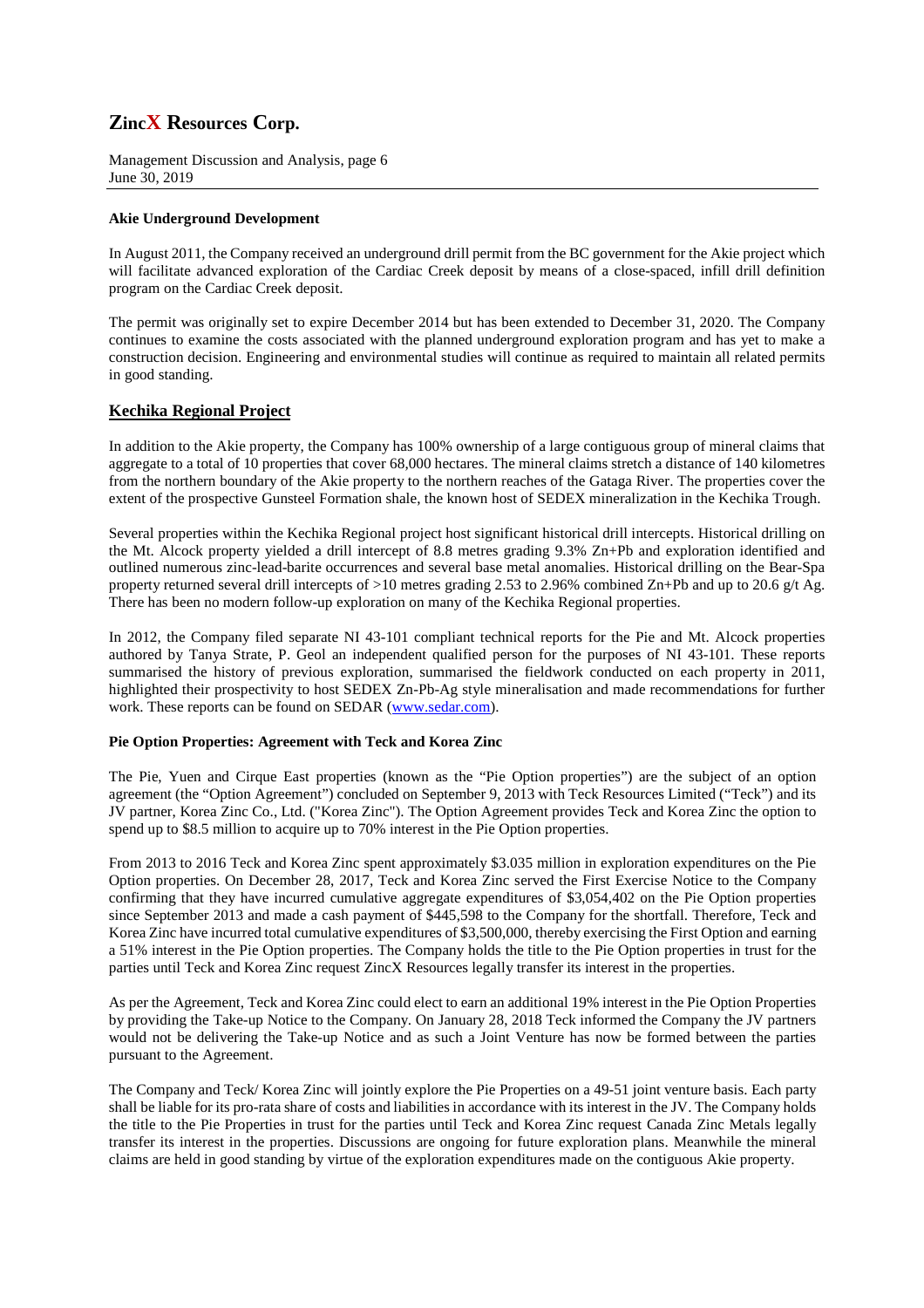Management Discussion and Analysis, page 6 June 30, 2019

### **Akie Underground Development**

In August 2011, the Company received an underground drill permit from the BC government for the Akie project which will facilitate advanced exploration of the Cardiac Creek deposit by means of a close-spaced, infill drill definition program on the Cardiac Creek deposit.

The permit was originally set to expire December 2014 but has been extended to December 31, 2020. The Company continues to examine the costs associated with the planned underground exploration program and has yet to make a construction decision. Engineering and environmental studies will continue as required to maintain all related permits in good standing.

## **Kechika Regional Project**

In addition to the Akie property, the Company has 100% ownership of a large contiguous group of mineral claims that aggregate to a total of 10 properties that cover 68,000 hectares. The mineral claims stretch a distance of 140 kilometres from the northern boundary of the Akie property to the northern reaches of the Gataga River. The properties cover the extent of the prospective Gunsteel Formation shale, the known host of SEDEX mineralization in the Kechika Trough.

Several properties within the Kechika Regional project host significant historical drill intercepts. Historical drilling on the Mt. Alcock property yielded a drill intercept of 8.8 metres grading 9.3% Zn+Pb and exploration identified and outlined numerous zinc-lead-barite occurrences and several base metal anomalies. Historical drilling on the Bear-Spa property returned several drill intercepts of >10 metres grading 2.53 to 2.96% combined Zn+Pb and up to 20.6 g/t Ag. There has been no modern follow-up exploration on many of the Kechika Regional properties.

In 2012, the Company filed separate NI 43-101 compliant technical reports for the Pie and Mt. Alcock properties authored by Tanya Strate, P. Geol an independent qualified person for the purposes of NI 43-101. These reports summarised the history of previous exploration, summarised the fieldwork conducted on each property in 2011, highlighted their prospectivity to host SEDEX Zn-Pb-Ag style mineralisation and made recommendations for further work. These reports can be found on SEDAR (www.sedar.com).

### **Pie Option Properties: Agreement with Teck and Korea Zinc**

The Pie, Yuen and Cirque East properties (known as the "Pie Option properties") are the subject of an option agreement (the "Option Agreement") concluded on September 9, 2013 with Teck Resources Limited ("Teck") and its JV partner, Korea Zinc Co., Ltd. ("Korea Zinc"). The Option Agreement provides Teck and Korea Zinc the option to spend up to \$8.5 million to acquire up to 70% interest in the Pie Option properties.

From 2013 to 2016 Teck and Korea Zinc spent approximately \$3.035 million in exploration expenditures on the Pie Option properties. On December 28, 2017, Teck and Korea Zinc served the First Exercise Notice to the Company confirming that they have incurred cumulative aggregate expenditures of \$3,054,402 on the Pie Option properties since September 2013 and made a cash payment of \$445,598 to the Company for the shortfall. Therefore, Teck and Korea Zinc have incurred total cumulative expenditures of \$3,500,000, thereby exercising the First Option and earning a 51% interest in the Pie Option properties. The Company holds the title to the Pie Option properties in trust for the parties until Teck and Korea Zinc request ZincX Resources legally transfer its interest in the properties.

As per the Agreement, Teck and Korea Zinc could elect to earn an additional 19% interest in the Pie Option Properties by providing the Take-up Notice to the Company. On January 28, 2018 Teck informed the Company the JV partners would not be delivering the Take-up Notice and as such a Joint Venture has now be formed between the parties pursuant to the Agreement.

The Company and Teck/ Korea Zinc will jointly explore the Pie Properties on a 49-51 joint venture basis. Each party shall be liable for its pro-rata share of costs and liabilities in accordance with its interest in the JV. The Company holds the title to the Pie Properties in trust for the parties until Teck and Korea Zinc request Canada Zinc Metals legally transfer its interest in the properties. Discussions are ongoing for future exploration plans. Meanwhile the mineral claims are held in good standing by virtue of the exploration expenditures made on the contiguous Akie property.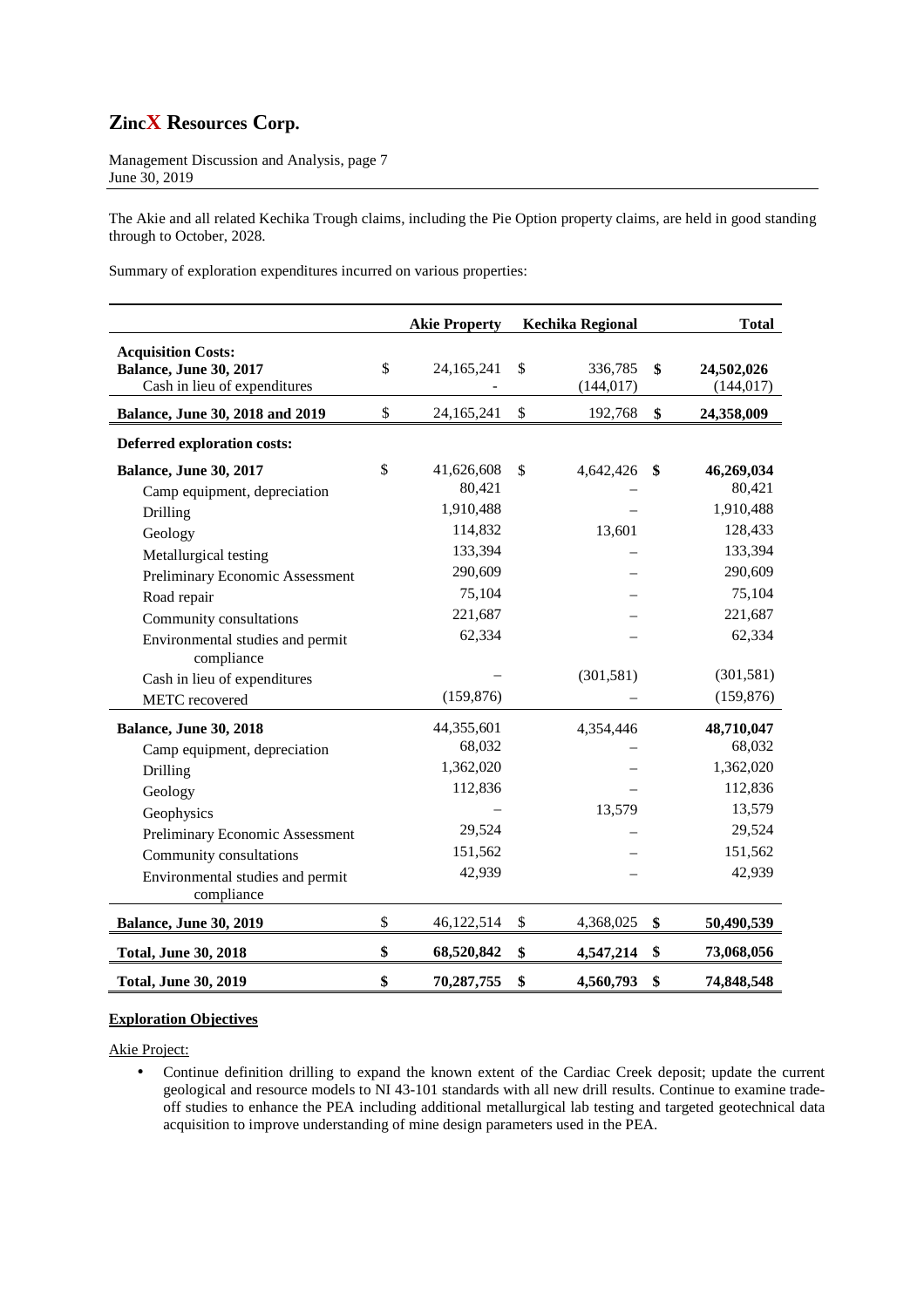Management Discussion and Analysis, page 7 June 30, 2019

The Akie and all related Kechika Trough claims, including the Pie Option property claims, are held in good standing through to October, 2028.

Summary of exploration expenditures incurred on various properties:

|                                                                                            | <b>Akie Property</b>       | <b>Kechika Regional</b>     | <b>Total</b>                   |
|--------------------------------------------------------------------------------------------|----------------------------|-----------------------------|--------------------------------|
| <b>Acquisition Costs:</b><br><b>Balance, June 30, 2017</b><br>Cash in lieu of expenditures | \$<br>24,165,241           | \$<br>336,785<br>(144, 017) | \$<br>24,502,026<br>(144, 017) |
| Balance, June 30, 2018 and 2019                                                            | \$<br>24,165,241           | \$<br>192,768               | \$<br>24,358,009               |
| <b>Deferred exploration costs:</b>                                                         |                            |                             |                                |
| <b>Balance, June 30, 2017</b><br>Camp equipment, depreciation                              | \$<br>41,626,608<br>80,421 | \$<br>4,642,426             | \$<br>46,269,034<br>80,421     |
| Drilling                                                                                   | 1,910,488                  |                             | 1,910,488                      |
| Geology                                                                                    | 114,832                    | 13,601                      | 128,433                        |
| Metallurgical testing                                                                      | 133,394                    |                             | 133,394                        |
| Preliminary Economic Assessment                                                            | 290,609                    |                             | 290,609                        |
| Road repair                                                                                | 75,104                     |                             | 75,104                         |
| Community consultations                                                                    | 221,687                    |                             | 221,687                        |
| Environmental studies and permit<br>compliance                                             | 62,334                     |                             | 62,334                         |
| Cash in lieu of expenditures                                                               |                            | (301, 581)                  | (301, 581)                     |
| METC recovered                                                                             | (159, 876)                 |                             | (159, 876)                     |
| Balance, June 30, 2018                                                                     | 44,355,601                 | 4,354,446                   | 48,710,047                     |
| Camp equipment, depreciation                                                               | 68,032                     |                             | 68,032                         |
| Drilling                                                                                   | 1,362,020                  |                             | 1,362,020                      |
| Geology                                                                                    | 112,836                    |                             | 112,836                        |
| Geophysics                                                                                 |                            | 13,579                      | 13,579                         |
| Preliminary Economic Assessment                                                            | 29,524                     |                             | 29,524                         |
| Community consultations                                                                    | 151,562                    |                             | 151,562                        |
| Environmental studies and permit<br>compliance                                             | 42,939                     |                             | 42,939                         |
| <b>Balance, June 30, 2019</b>                                                              | \$<br>46,122,514           | \$<br>4,368,025             | \$<br>50,490,539               |
| <b>Total, June 30, 2018</b>                                                                | \$<br>68,520,842           | \$<br>4,547,214             | \$<br>73,068,056               |
| <b>Total, June 30, 2019</b>                                                                | \$<br>70,287,755           | \$<br>4,560,793             | \$<br>74,848,548               |

## **Exploration Objectives**

Akie Project:

• Continue definition drilling to expand the known extent of the Cardiac Creek deposit; update the current geological and resource models to NI 43-101 standards with all new drill results. Continue to examine tradeoff studies to enhance the PEA including additional metallurgical lab testing and targeted geotechnical data acquisition to improve understanding of mine design parameters used in the PEA.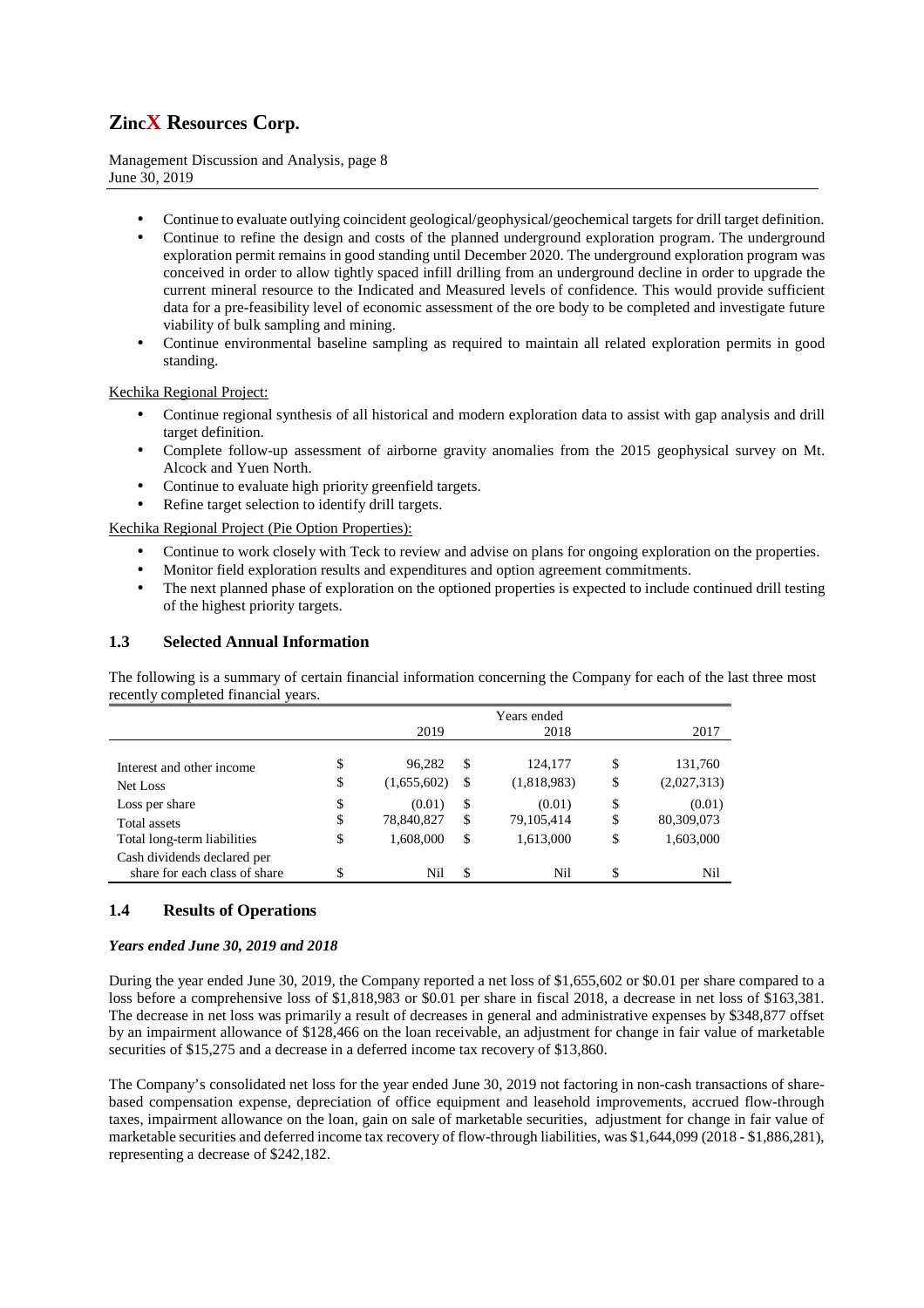Management Discussion and Analysis, page 8 June 30, 2019

- Continue to evaluate outlying coincident geological/geophysical/geochemical targets for drill target definition.
- Continue to refine the design and costs of the planned underground exploration program. The underground exploration permit remains in good standing until December 2020. The underground exploration program was conceived in order to allow tightly spaced infill drilling from an underground decline in order to upgrade the current mineral resource to the Indicated and Measured levels of confidence. This would provide sufficient data for a pre-feasibility level of economic assessment of the ore body to be completed and investigate future viability of bulk sampling and mining.
- Continue environmental baseline sampling as required to maintain all related exploration permits in good standing.

### Kechika Regional Project:

- Continue regional synthesis of all historical and modern exploration data to assist with gap analysis and drill target definition.
- Complete follow-up assessment of airborne gravity anomalies from the 2015 geophysical survey on Mt. Alcock and Yuen North.
- Continue to evaluate high priority greenfield targets.
- Refine target selection to identify drill targets.

Kechika Regional Project (Pie Option Properties):

- Continue to work closely with Teck to review and advise on plans for ongoing exploration on the properties.
- Monitor field exploration results and expenditures and option agreement commitments.
- The next planned phase of exploration on the optioned properties is expected to include continued drill testing of the highest priority targets.

## **1.3 Selected Annual Information**

The following is a summary of certain financial information concerning the Company for each of the last three most recently completed financial years.

|                                                              | 2019              | Years ended<br>2018 | 2017              |
|--------------------------------------------------------------|-------------------|---------------------|-------------------|
|                                                              |                   |                     |                   |
| Interest and other income                                    | \$<br>96,282      | \$<br>124,177       | \$<br>131,760     |
| Net Loss                                                     | \$<br>(1,655,602) | \$<br>(1,818,983)   | \$<br>(2,027,313) |
| Loss per share                                               | \$<br>(0.01)      | \$<br>(0.01)        | \$<br>(0.01)      |
| Total assets                                                 | \$<br>78,840,827  | \$<br>79,105,414    | \$<br>80,309,073  |
| Total long-term liabilities                                  | \$<br>1,608,000   | \$<br>1,613,000     | \$<br>1,603,000   |
| Cash dividends declared per<br>share for each class of share | \$<br>Nil         | \$<br>Nil           | \$<br>Nil         |

## **1.4 Results of Operations**

### *Years ended June 30, 2019 and 2018*

During the year ended June 30, 2019, the Company reported a net loss of \$1,655,602 or \$0.01 per share compared to a loss before a comprehensive loss of \$1,818,983 or \$0.01 per share in fiscal 2018, a decrease in net loss of \$163,381. The decrease in net loss was primarily a result of decreases in general and administrative expenses by \$348,877 offset by an impairment allowance of \$128,466 on the loan receivable, an adjustment for change in fair value of marketable securities of \$15,275 and a decrease in a deferred income tax recovery of \$13,860.

The Company's consolidated net loss for the year ended June 30, 2019 not factoring in non-cash transactions of sharebased compensation expense, depreciation of office equipment and leasehold improvements, accrued flow-through taxes, impairment allowance on the loan, gain on sale of marketable securities, adjustment for change in fair value of marketable securities and deferred income tax recovery of flow-through liabilities, was \$1,644,099 (2018 - \$1,886,281), representing a decrease of \$242,182.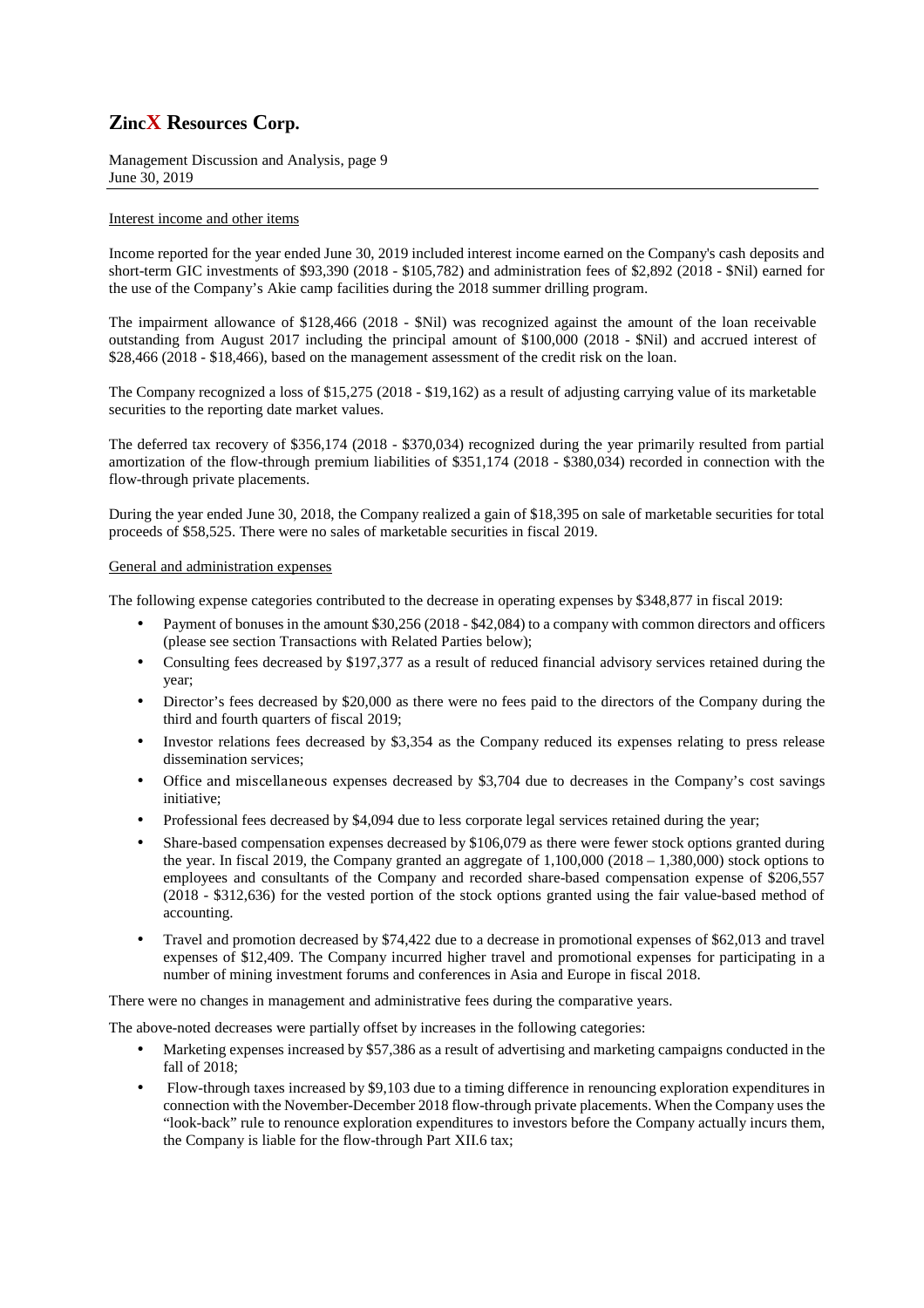Management Discussion and Analysis, page 9 June 30, 2019

## Interest income and other items

Income reported for the year ended June 30, 2019 included interest income earned on the Company's cash deposits and short-term GIC investments of \$93,390 (2018 - \$105,782) and administration fees of \$2,892 (2018 - \$Nil) earned for the use of the Company's Akie camp facilities during the 2018 summer drilling program.

The impairment allowance of \$128,466 (2018 - \$Nil) was recognized against the amount of the loan receivable outstanding from August 2017 including the principal amount of \$100,000 (2018 - \$Nil) and accrued interest of \$28,466 (2018 - \$18,466), based on the management assessment of the credit risk on the loan.

The Company recognized a loss of \$15,275 (2018 - \$19,162) as a result of adjusting carrying value of its marketable securities to the reporting date market values.

The deferred tax recovery of \$356,174 (2018 - \$370,034) recognized during the year primarily resulted from partial amortization of the flow-through premium liabilities of \$351,174 (2018 - \$380,034) recorded in connection with the flow-through private placements.

During the year ended June 30, 2018, the Company realized a gain of \$18,395 on sale of marketable securities for total proceeds of \$58,525. There were no sales of marketable securities in fiscal 2019.

#### General and administration expenses

The following expense categories contributed to the decrease in operating expenses by \$348,877 in fiscal 2019:

- Payment of bonuses in the amount \$30,256 (2018 \$42,084) to a company with common directors and officers (please see section Transactions with Related Parties below);
- Consulting fees decreased by \$197,377 as a result of reduced financial advisory services retained during the year;
- Director's fees decreased by \$20,000 as there were no fees paid to the directors of the Company during the third and fourth quarters of fiscal 2019;
- Investor relations fees decreased by \$3,354 as the Company reduced its expenses relating to press release dissemination services;
- Office and miscellaneous expenses decreased by \$3,704 due to decreases in the Company's cost savings initiative;
- Professional fees decreased by \$4,094 due to less corporate legal services retained during the year;
- Share-based compensation expenses decreased by \$106,079 as there were fewer stock options granted during the year. In fiscal 2019, the Company granted an aggregate of 1,100,000 (2018 – 1,380,000) stock options to employees and consultants of the Company and recorded share-based compensation expense of \$206,557 (2018 - \$312,636) for the vested portion of the stock options granted using the fair value-based method of accounting.
- Travel and promotion decreased by \$74,422 due to a decrease in promotional expenses of \$62,013 and travel expenses of \$12,409. The Company incurred higher travel and promotional expenses for participating in a number of mining investment forums and conferences in Asia and Europe in fiscal 2018.

There were no changes in management and administrative fees during the comparative years.

The above-noted decreases were partially offset by increases in the following categories:

- Marketing expenses increased by \$57,386 as a result of advertising and marketing campaigns conducted in the fall of 2018;
- Flow-through taxes increased by \$9,103 due to a timing difference in renouncing exploration expenditures in connection with the November-December 2018 flow-through private placements. When the Company uses the "look-back" rule to renounce exploration expenditures to investors before the Company actually incurs them, the Company is liable for the flow-through Part XII.6 tax;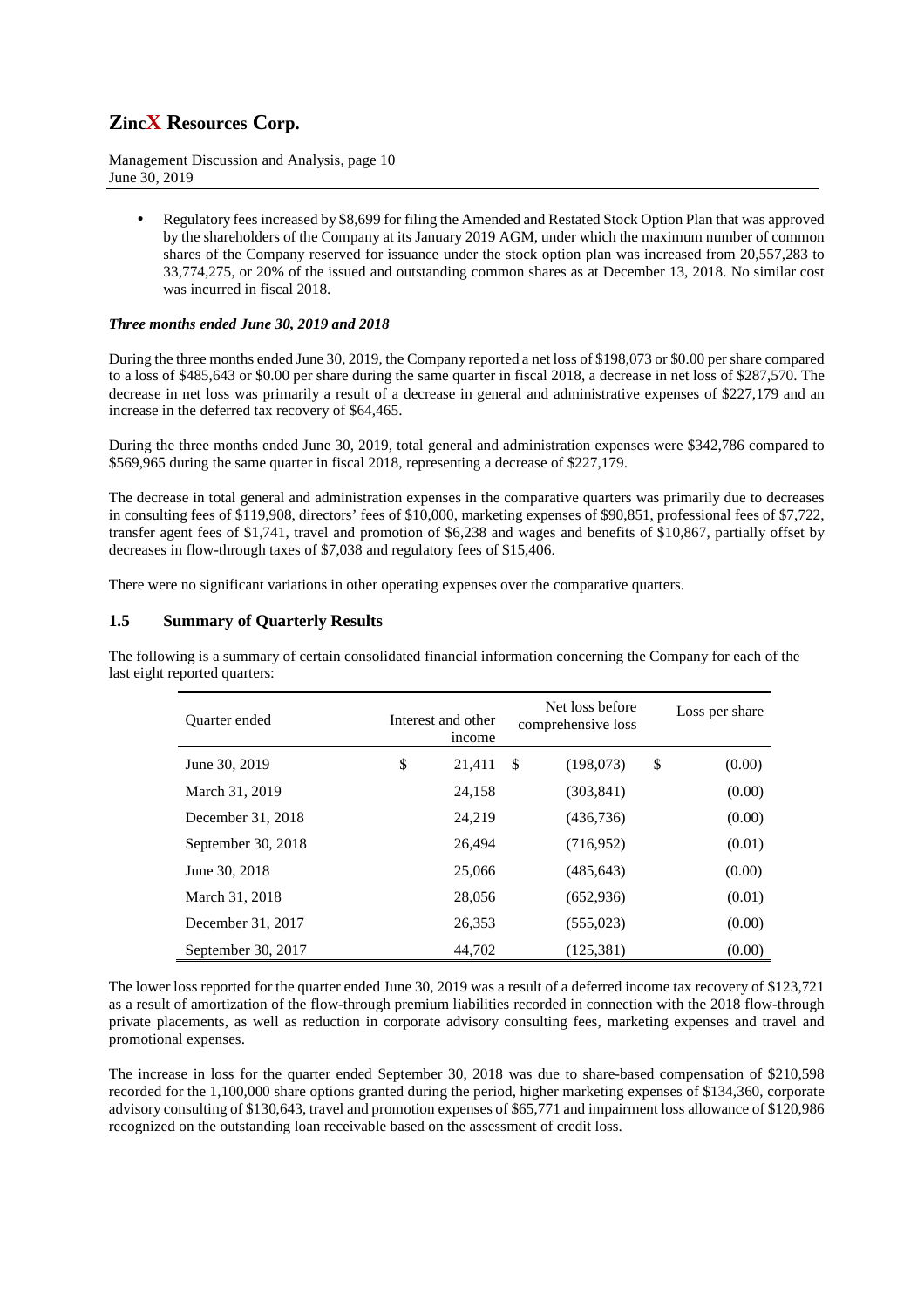Management Discussion and Analysis, page 10 June 30, 2019

> • Regulatory fees increased by \$8,699 for filing the Amended and Restated Stock Option Plan that was approved by the shareholders of the Company at its January 2019 AGM, under which the maximum number of common shares of the Company reserved for issuance under the stock option plan was increased from 20,557,283 to 33,774,275, or 20% of the issued and outstanding common shares as at December 13, 2018. No similar cost was incurred in fiscal 2018.

## *Three months ended June 30, 2019 and 2018*

During the three months ended June 30, 2019, the Company reported a net loss of \$198,073 or \$0.00 per share compared to a loss of \$485,643 or \$0.00 per share during the same quarter in fiscal 2018, a decrease in net loss of \$287,570. The decrease in net loss was primarily a result of a decrease in general and administrative expenses of \$227,179 and an increase in the deferred tax recovery of \$64,465.

During the three months ended June 30, 2019, total general and administration expenses were \$342,786 compared to \$569,965 during the same quarter in fiscal 2018, representing a decrease of \$227,179.

The decrease in total general and administration expenses in the comparative quarters was primarily due to decreases in consulting fees of \$119,908, directors' fees of \$10,000, marketing expenses of \$90,851, professional fees of \$7,722, transfer agent fees of \$1,741, travel and promotion of \$6,238 and wages and benefits of \$10,867, partially offset by decreases in flow-through taxes of \$7,038 and regulatory fees of \$15,406.

There were no significant variations in other operating expenses over the comparative quarters.

## **1.5 Summary of Quarterly Results**

The following is a summary of certain consolidated financial information concerning the Company for each of the last eight reported quarters:

| <b>Ouarter</b> ended | Interest and other<br>income |     | Net loss before<br>comprehensive loss | Loss per share |
|----------------------|------------------------------|-----|---------------------------------------|----------------|
| June 30, 2019        | \$<br>21,411                 | -\$ | (198,073)                             | \$<br>(0.00)   |
| March 31, 2019       | 24,158                       |     | (303, 841)                            | (0.00)         |
| December 31, 2018    | 24,219                       |     | (436, 736)                            | (0.00)         |
| September 30, 2018   | 26.494                       |     | (716,952)                             | (0.01)         |
| June 30, 2018        | 25,066                       |     | (485, 643)                            | (0.00)         |
| March 31, 2018       | 28,056                       |     | (652, 936)                            | (0.01)         |
| December 31, 2017    | 26,353                       |     | (555, 023)                            | (0.00)         |
| September 30, 2017   | 44,702                       |     | (125, 381)                            | (0.00)         |

The lower loss reported for the quarter ended June 30, 2019 was a result of a deferred income tax recovery of \$123,721 as a result of amortization of the flow-through premium liabilities recorded in connection with the 2018 flow-through private placements, as well as reduction in corporate advisory consulting fees, marketing expenses and travel and promotional expenses.

The increase in loss for the quarter ended September 30, 2018 was due to share-based compensation of \$210,598 recorded for the 1,100,000 share options granted during the period, higher marketing expenses of \$134,360, corporate advisory consulting of \$130,643, travel and promotion expenses of \$65,771 and impairment loss allowance of \$120,986 recognized on the outstanding loan receivable based on the assessment of credit loss.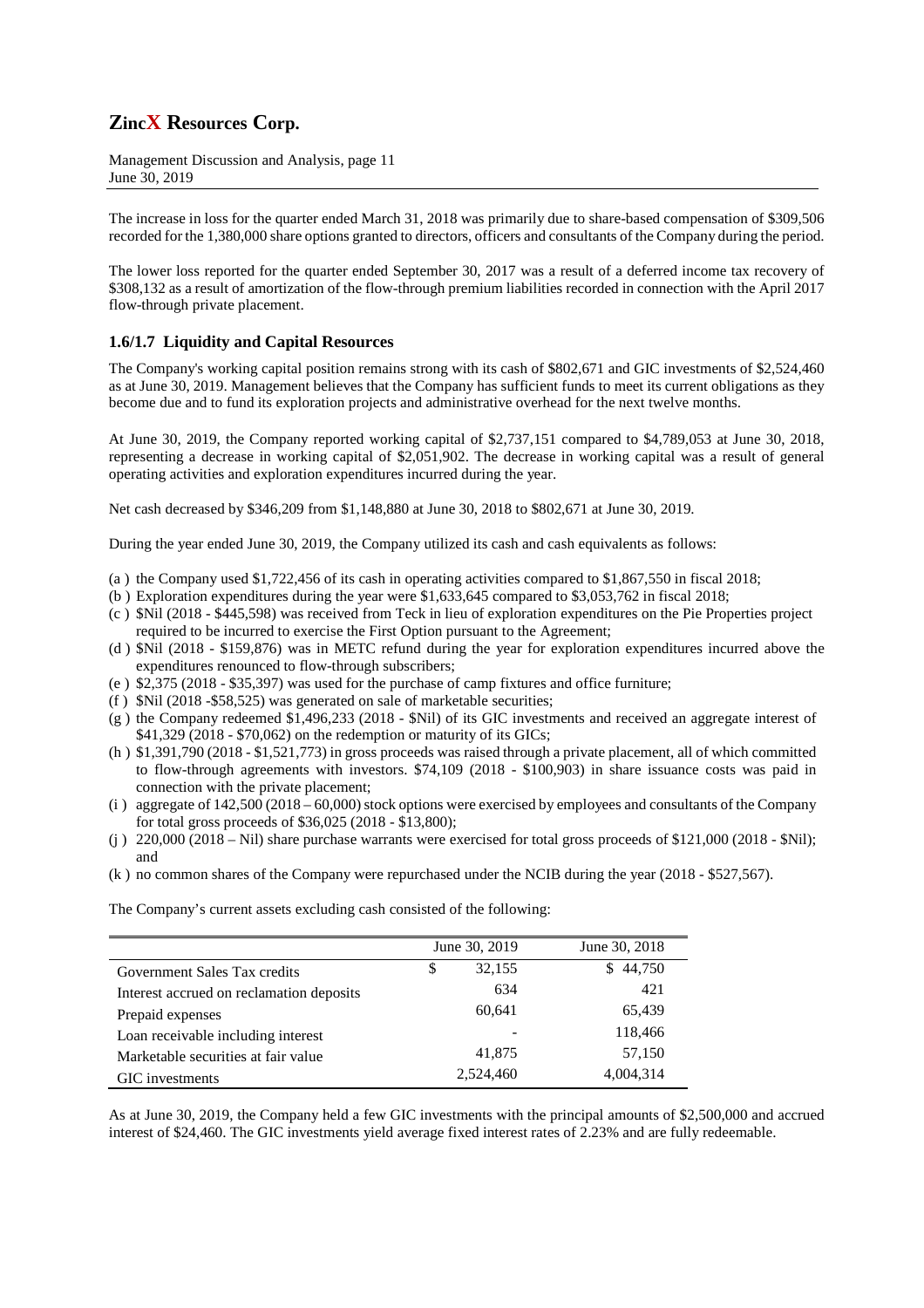Management Discussion and Analysis, page 11 June 30, 2019

The increase in loss for the quarter ended March 31, 2018 was primarily due to share-based compensation of \$309,506 recorded for the 1,380,000 share options granted to directors, officers and consultants of the Company during the period.

The lower loss reported for the quarter ended September 30, 2017 was a result of a deferred income tax recovery of \$308,132 as a result of amortization of the flow-through premium liabilities recorded in connection with the April 2017 flow-through private placement.

## **1.6/1.7 Liquidity and Capital Resources**

The Company's working capital position remains strong with its cash of \$802,671 and GIC investments of \$2,524,460 as at June 30, 2019. Management believes that the Company has sufficient funds to meet its current obligations as they become due and to fund its exploration projects and administrative overhead for the next twelve months.

At June 30, 2019, the Company reported working capital of \$2,737,151 compared to \$4,789,053 at June 30, 2018, representing a decrease in working capital of \$2,051,902. The decrease in working capital was a result of general operating activities and exploration expenditures incurred during the year.

Net cash decreased by \$346,209 from \$1,148,880 at June 30, 2018 to \$802,671 at June 30, 2019.

During the year ended June 30, 2019, the Company utilized its cash and cash equivalents as follows:

- (a ) the Company used \$1,722,456 of its cash in operating activities compared to \$1,867,550 in fiscal 2018;
- (b ) Exploration expenditures during the year were \$1,633,645 compared to \$3,053,762 in fiscal 2018;
- (c ) \$Nil (2018 \$445,598) was received from Teck in lieu of exploration expenditures on the Pie Properties project required to be incurred to exercise the First Option pursuant to the Agreement;
- (d ) \$Nil (2018 \$159,876) was in METC refund during the year for exploration expenditures incurred above the expenditures renounced to flow-through subscribers;
- (e ) \$2,375 (2018 \$35,397) was used for the purchase of camp fixtures and office furniture;
- (f ) \$Nil (2018 -\$58,525) was generated on sale of marketable securities;
- (g ) the Company redeemed \$1,496,233 (2018 \$Nil) of its GIC investments and received an aggregate interest of \$41,329 (2018 - \$70,062) on the redemption or maturity of its GICs;
- (h ) \$1,391,790 (2018 \$1,521,773) in gross proceeds was raised through a private placement, all of which committed to flow-through agreements with investors. \$74,109 (2018 - \$100,903) in share issuance costs was paid in connection with the private placement;
- (i ) aggregate of 142,500 (2018 60,000) stock options were exercised by employees and consultants of the Company for total gross proceeds of \$36,025 (2018 - \$13,800);
- (j)  $220,000$  (2018 Nil) share purchase warrants were exercised for total gross proceeds of \$121,000 (2018 \$Nil); and
- (k ) no common shares of the Company were repurchased under the NCIB during the year (2018 \$527,567).

The Company's current assets excluding cash consisted of the following:

|                                          | June 30, 2019 | June 30, 2018 |
|------------------------------------------|---------------|---------------|
| Government Sales Tax credits             | 32,155<br>\$  | 44,750<br>S.  |
| Interest accrued on reclamation deposits | 634           | 421           |
| Prepaid expenses                         | 60,641        | 65,439        |
| Loan receivable including interest       | -             | 118,466       |
| Marketable securities at fair value      | 41,875        | 57,150        |
| GIC investments                          | 2,524,460     | 4.004.314     |

As at June 30, 2019, the Company held a few GIC investments with the principal amounts of \$2,500,000 and accrued interest of \$24,460. The GIC investments yield average fixed interest rates of 2.23% and are fully redeemable.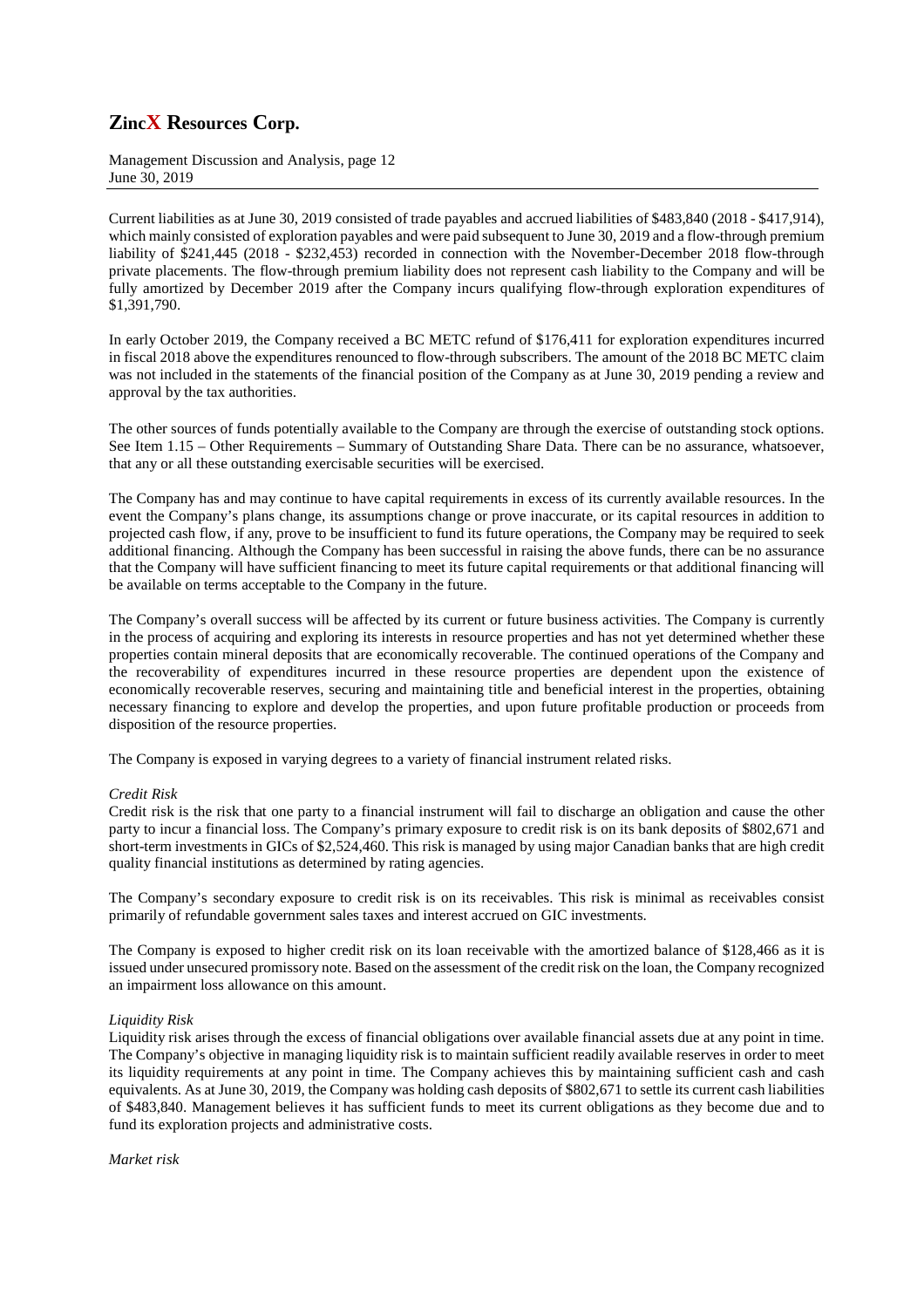Management Discussion and Analysis, page 12 June 30, 2019

Current liabilities as at June 30, 2019 consisted of trade payables and accrued liabilities of \$483,840 (2018 - \$417,914), which mainly consisted of exploration payables and were paid subsequent to June 30, 2019 and a flow-through premium liability of \$241,445 (2018 - \$232,453) recorded in connection with the November-December 2018 flow-through private placements. The flow-through premium liability does not represent cash liability to the Company and will be fully amortized by December 2019 after the Company incurs qualifying flow-through exploration expenditures of \$1,391,790.

In early October 2019, the Company received a BC METC refund of \$176,411 for exploration expenditures incurred in fiscal 2018 above the expenditures renounced to flow-through subscribers. The amount of the 2018 BC METC claim was not included in the statements of the financial position of the Company as at June 30, 2019 pending a review and approval by the tax authorities.

The other sources of funds potentially available to the Company are through the exercise of outstanding stock options. See Item 1.15 – Other Requirements – Summary of Outstanding Share Data. There can be no assurance, whatsoever, that any or all these outstanding exercisable securities will be exercised.

The Company has and may continue to have capital requirements in excess of its currently available resources. In the event the Company's plans change, its assumptions change or prove inaccurate, or its capital resources in addition to projected cash flow, if any, prove to be insufficient to fund its future operations, the Company may be required to seek additional financing. Although the Company has been successful in raising the above funds, there can be no assurance that the Company will have sufficient financing to meet its future capital requirements or that additional financing will be available on terms acceptable to the Company in the future.

The Company's overall success will be affected by its current or future business activities. The Company is currently in the process of acquiring and exploring its interests in resource properties and has not yet determined whether these properties contain mineral deposits that are economically recoverable. The continued operations of the Company and the recoverability of expenditures incurred in these resource properties are dependent upon the existence of economically recoverable reserves, securing and maintaining title and beneficial interest in the properties, obtaining necessary financing to explore and develop the properties, and upon future profitable production or proceeds from disposition of the resource properties.

The Company is exposed in varying degrees to a variety of financial instrument related risks.

### *Credit Risk*

Credit risk is the risk that one party to a financial instrument will fail to discharge an obligation and cause the other party to incur a financial loss. The Company's primary exposure to credit risk is on its bank deposits of \$802,671 and short-term investments in GICs of \$2,524,460. This risk is managed by using major Canadian banks that are high credit quality financial institutions as determined by rating agencies.

The Company's secondary exposure to credit risk is on its receivables. This risk is minimal as receivables consist primarily of refundable government sales taxes and interest accrued on GIC investments.

The Company is exposed to higher credit risk on its loan receivable with the amortized balance of \$128,466 as it is issued under unsecured promissory note. Based on the assessment of the credit risk on the loan, the Company recognized an impairment loss allowance on this amount.

### *Liquidity Risk*

Liquidity risk arises through the excess of financial obligations over available financial assets due at any point in time. The Company's objective in managing liquidity risk is to maintain sufficient readily available reserves in order to meet its liquidity requirements at any point in time. The Company achieves this by maintaining sufficient cash and cash equivalents. As at June 30, 2019, the Company was holding cash deposits of \$802,671 to settle its current cash liabilities of \$483,840. Management believes it has sufficient funds to meet its current obligations as they become due and to fund its exploration projects and administrative costs.

*Market risk*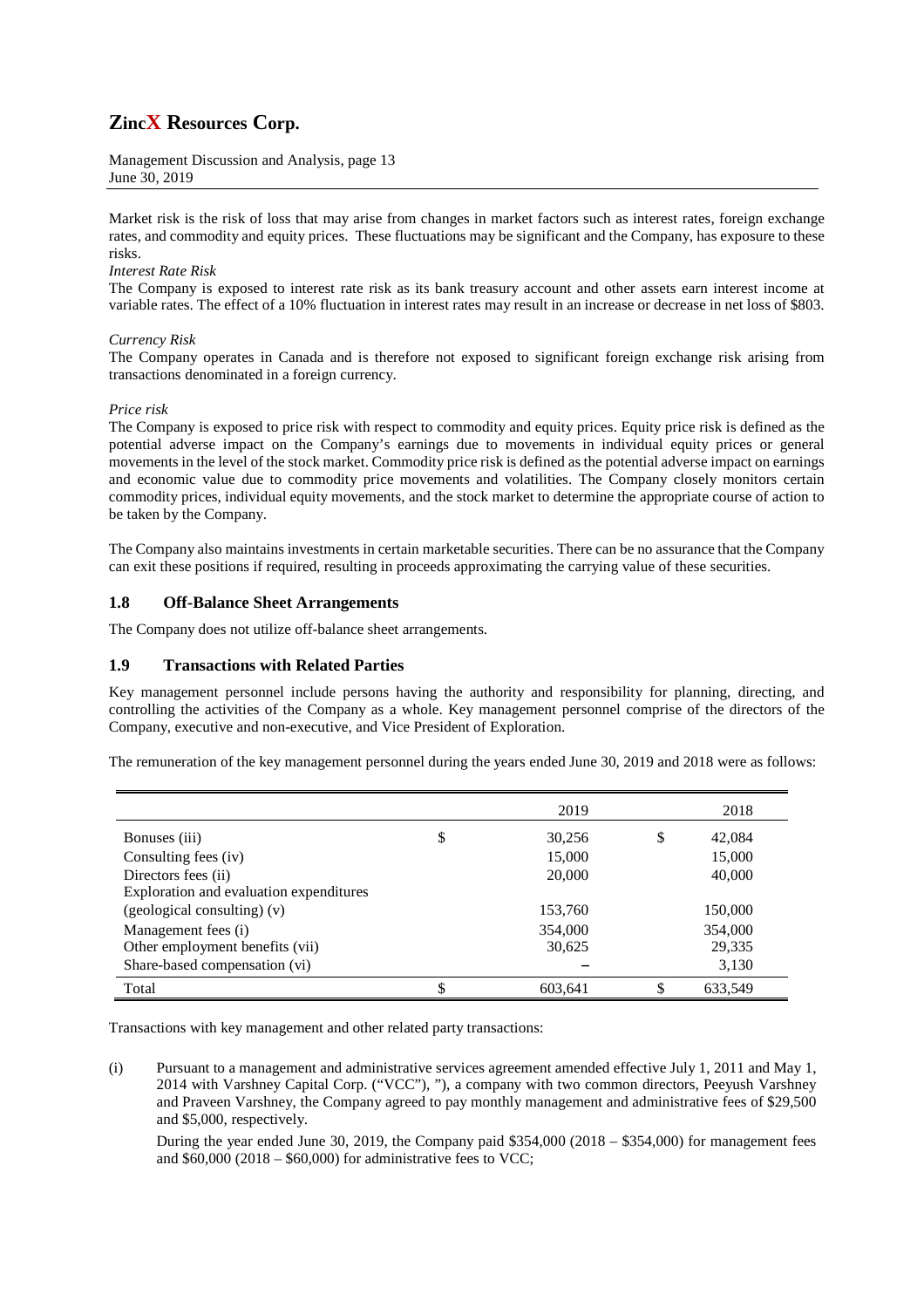Management Discussion and Analysis, page 13 June 30, 2019

Market risk is the risk of loss that may arise from changes in market factors such as interest rates, foreign exchange rates, and commodity and equity prices. These fluctuations may be significant and the Company, has exposure to these risks.

### *Interest Rate Risk*

The Company is exposed to interest rate risk as its bank treasury account and other assets earn interest income at variable rates. The effect of a 10% fluctuation in interest rates may result in an increase or decrease in net loss of \$803.

### *Currency Risk*

The Company operates in Canada and is therefore not exposed to significant foreign exchange risk arising from transactions denominated in a foreign currency.

### *Price risk*

The Company is exposed to price risk with respect to commodity and equity prices. Equity price risk is defined as the potential adverse impact on the Company's earnings due to movements in individual equity prices or general movements in the level of the stock market. Commodity price risk is defined as the potential adverse impact on earnings and economic value due to commodity price movements and volatilities. The Company closely monitors certain commodity prices, individual equity movements, and the stock market to determine the appropriate course of action to be taken by the Company.

The Company also maintains investments in certain marketable securities. There can be no assurance that the Company can exit these positions if required, resulting in proceeds approximating the carrying value of these securities.

## **1.8 Off-Balance Sheet Arrangements**

The Company does not utilize off-balance sheet arrangements.

### **1.9 Transactions with Related Parties**

Key management personnel include persons having the authority and responsibility for planning, directing, and controlling the activities of the Company as a whole. Key management personnel comprise of the directors of the Company, executive and non-executive, and Vice President of Exploration.

The remuneration of the key management personnel during the years ended June 30, 2019 and 2018 were as follows:

|                                         | 2019          |     | 2018    |
|-----------------------------------------|---------------|-----|---------|
| Bonuses (iii)                           | \$<br>30,256  | \$  | 42,084  |
| Consulting fees (iv)                    | 15,000        |     | 15,000  |
| Directors fees (ii)                     | 20,000        |     | 40,000  |
| Exploration and evaluation expenditures |               |     |         |
| $(gedological$ consulting) $(v)$        | 153,760       |     | 150,000 |
| Management fees (i)                     | 354,000       |     | 354,000 |
| Other employment benefits (vii)         | 30,625        |     | 29,335  |
| Share-based compensation (vi)           |               |     | 3,130   |
| Total                                   | \$<br>603,641 | \$. | 633,549 |

Transactions with key management and other related party transactions:

(i) Pursuant to a management and administrative services agreement amended effective July 1, 2011 and May 1, 2014 with Varshney Capital Corp. ("VCC"), "), a company with two common directors, Peeyush Varshney and Praveen Varshney, the Company agreed to pay monthly management and administrative fees of \$29,500 and \$5,000, respectively.

During the year ended June 30, 2019, the Company paid  $$354,000 (2018 - $354,000)$  for management fees and  $$60,000 (2018 - $60,000)$  for administrative fees to VCC: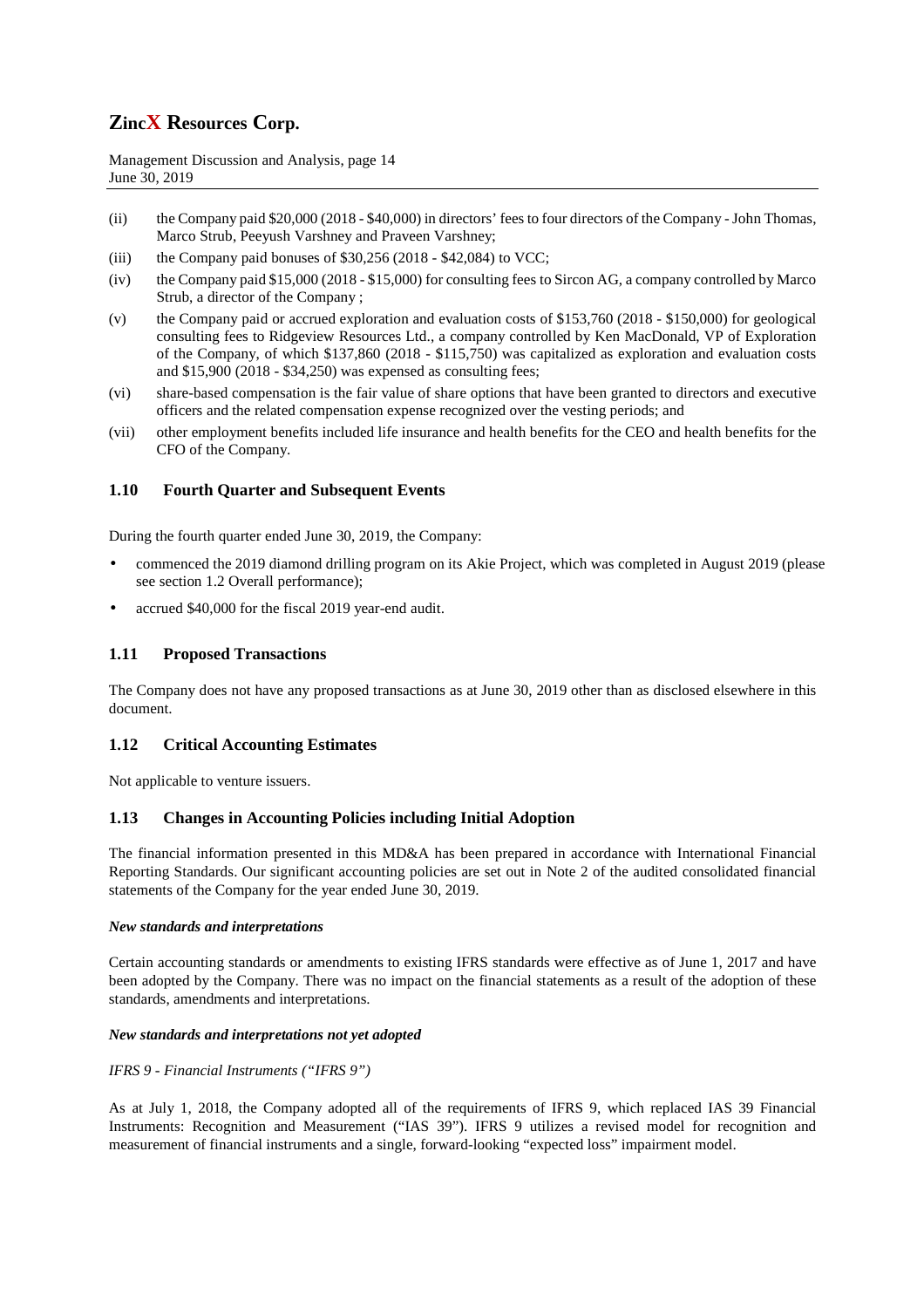Management Discussion and Analysis, page 14 June 30, 2019

- (ii) the Company paid \$20,000 (2018 \$40,000) in directors' fees to four directors of the Company John Thomas, Marco Strub, Peeyush Varshney and Praveen Varshney;
- (iii) the Company paid bonuses of  $$30,256$  (2018  $$42,084$ ) to VCC;
- (iv) the Company paid \$15,000 (2018 \$15,000) for consulting fees to Sircon AG, a company controlled by Marco Strub, a director of the Company ;
- (v) the Company paid or accrued exploration and evaluation costs of \$153,760 (2018 \$150,000) for geological consulting fees to Ridgeview Resources Ltd., a company controlled by Ken MacDonald, VP of Exploration of the Company, of which \$137,860 (2018 - \$115,750) was capitalized as exploration and evaluation costs and \$15,900 (2018 - \$34,250) was expensed as consulting fees;
- (vi) share-based compensation is the fair value of share options that have been granted to directors and executive officers and the related compensation expense recognized over the vesting periods; and
- (vii) other employment benefits included life insurance and health benefits for the CEO and health benefits for the CFO of the Company.

## **1.10 Fourth Quarter and Subsequent Events**

During the fourth quarter ended June 30, 2019, the Company:

- commenced the 2019 diamond drilling program on its Akie Project, which was completed in August 2019 (please see section 1.2 Overall performance);
- accrued \$40,000 for the fiscal 2019 year-end audit.

## **1.11 Proposed Transactions**

The Company does not have any proposed transactions as at June 30, 2019 other than as disclosed elsewhere in this document.

## **1.12 Critical Accounting Estimates**

Not applicable to venture issuers.

### **1.13 Changes in Accounting Policies including Initial Adoption**

The financial information presented in this MD&A has been prepared in accordance with International Financial Reporting Standards. Our significant accounting policies are set out in Note 2 of the audited consolidated financial statements of the Company for the year ended June 30, 2019.

#### *New standards and interpretations*

Certain accounting standards or amendments to existing IFRS standards were effective as of June 1, 2017 and have been adopted by the Company. There was no impact on the financial statements as a result of the adoption of these standards, amendments and interpretations.

### *New standards and interpretations not yet adopted*

*IFRS 9 - Financial Instruments ("IFRS 9")* 

As at July 1, 2018, the Company adopted all of the requirements of IFRS 9, which replaced IAS 39 Financial Instruments: Recognition and Measurement ("IAS 39"). IFRS 9 utilizes a revised model for recognition and measurement of financial instruments and a single, forward-looking "expected loss" impairment model.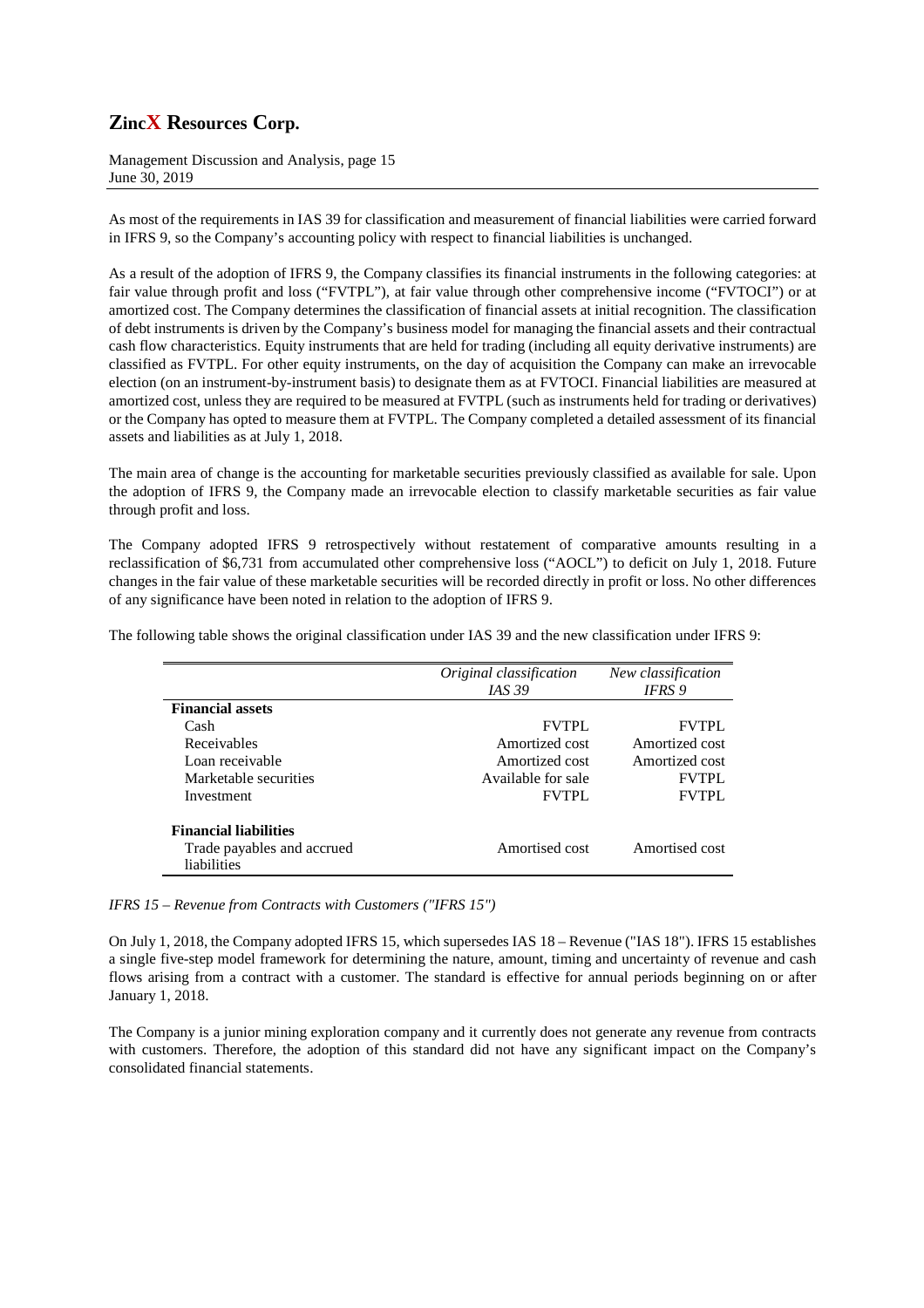Management Discussion and Analysis, page 15 June 30, 2019

As most of the requirements in IAS 39 for classification and measurement of financial liabilities were carried forward in IFRS 9, so the Company's accounting policy with respect to financial liabilities is unchanged.

As a result of the adoption of IFRS 9, the Company classifies its financial instruments in the following categories: at fair value through profit and loss ("FVTPL"), at fair value through other comprehensive income ("FVTOCI") or at amortized cost. The Company determines the classification of financial assets at initial recognition. The classification of debt instruments is driven by the Company's business model for managing the financial assets and their contractual cash flow characteristics. Equity instruments that are held for trading (including all equity derivative instruments) are classified as FVTPL. For other equity instruments, on the day of acquisition the Company can make an irrevocable election (on an instrument-by-instrument basis) to designate them as at FVTOCI. Financial liabilities are measured at amortized cost, unless they are required to be measured at FVTPL (such as instruments held for trading or derivatives) or the Company has opted to measure them at FVTPL. The Company completed a detailed assessment of its financial assets and liabilities as at July 1, 2018.

The main area of change is the accounting for marketable securities previously classified as available for sale. Upon the adoption of IFRS 9, the Company made an irrevocable election to classify marketable securities as fair value through profit and loss.

The Company adopted IFRS 9 retrospectively without restatement of comparative amounts resulting in a reclassification of \$6,731 from accumulated other comprehensive loss ("AOCL") to deficit on July 1, 2018. Future changes in the fair value of these marketable securities will be recorded directly in profit or loss. No other differences of any significance have been noted in relation to the adoption of IFRS 9.

The following table shows the original classification under IAS 39 and the new classification under IFRS 9:

|                              | Original classification | New classification |
|------------------------------|-------------------------|--------------------|
|                              | <i>IAS</i> 39           | IFRS 9             |
| <b>Financial assets</b>      |                         |                    |
| Cash                         | <b>FVTPL</b>            | <b>FVTPL</b>       |
| Receivables                  | Amortized cost          | Amortized cost     |
| Loan receivable              | Amortized cost          | Amortized cost     |
| Marketable securities        | Available for sale      | <b>FVTPL</b>       |
| Investment                   | <b>FVTPL</b>            | <b>FVTPL</b>       |
| <b>Financial liabilities</b> |                         |                    |
| Trade payables and accrued   | Amortised cost          | Amortised cost     |
| liabilities                  |                         |                    |

*IFRS 15 – Revenue from Contracts with Customers ("IFRS 15")* 

On July 1, 2018, the Company adopted IFRS 15, which supersedes IAS 18 – Revenue ("IAS 18"). IFRS 15 establishes a single five-step model framework for determining the nature, amount, timing and uncertainty of revenue and cash flows arising from a contract with a customer. The standard is effective for annual periods beginning on or after January 1, 2018.

The Company is a junior mining exploration company and it currently does not generate any revenue from contracts with customers. Therefore, the adoption of this standard did not have any significant impact on the Company's consolidated financial statements.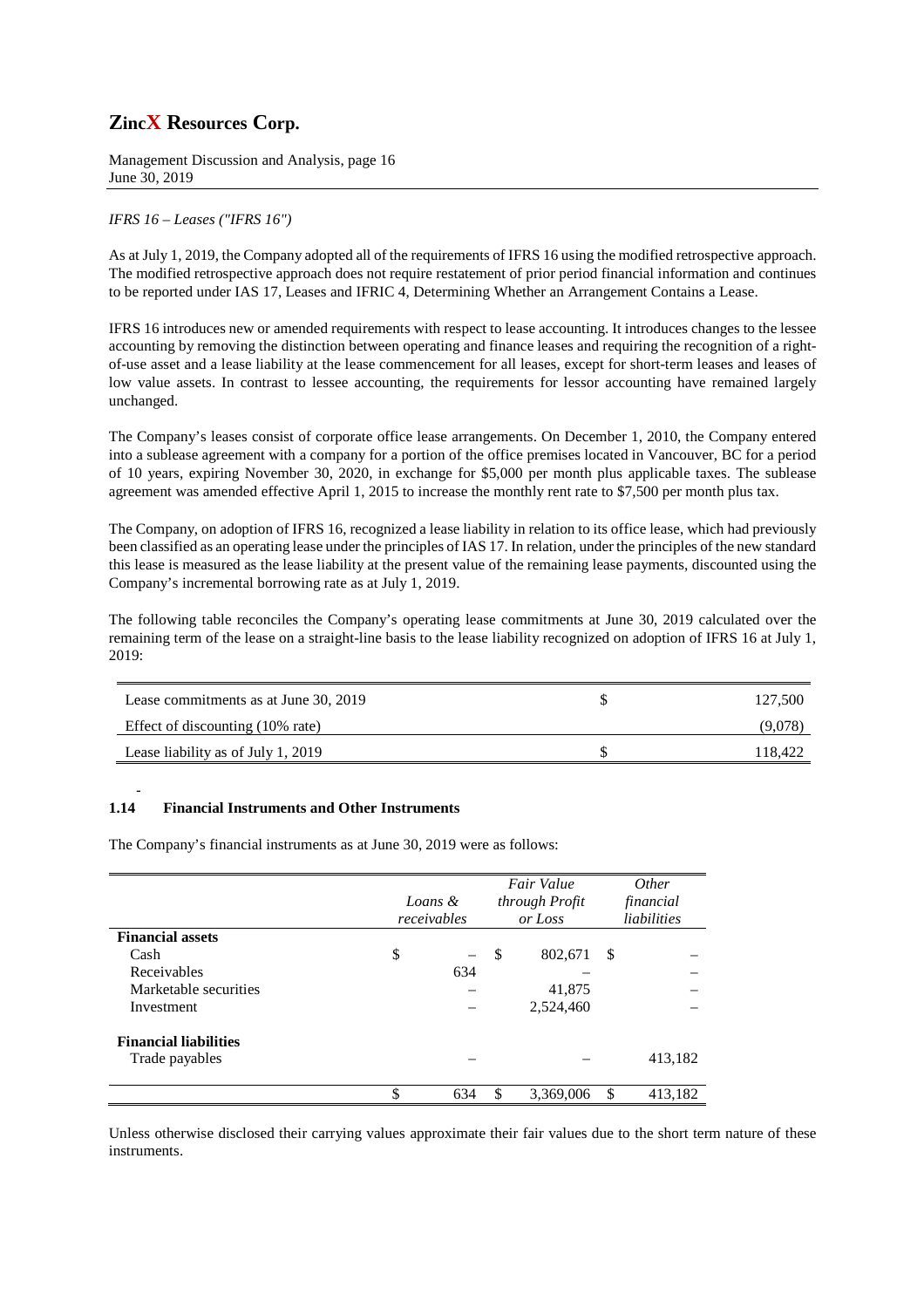Management Discussion and Analysis, page 16 June 30, 2019

## *IFRS 16 – Leases ("IFRS 16")*

As at July 1, 2019, the Company adopted all of the requirements of IFRS 16 using the modified retrospective approach. The modified retrospective approach does not require restatement of prior period financial information and continues to be reported under IAS 17, Leases and IFRIC 4, Determining Whether an Arrangement Contains a Lease.

IFRS 16 introduces new or amended requirements with respect to lease accounting. It introduces changes to the lessee accounting by removing the distinction between operating and finance leases and requiring the recognition of a rightof-use asset and a lease liability at the lease commencement for all leases, except for short-term leases and leases of low value assets. In contrast to lessee accounting, the requirements for lessor accounting have remained largely unchanged.

The Company's leases consist of corporate office lease arrangements. On December 1, 2010, the Company entered into a sublease agreement with a company for a portion of the office premises located in Vancouver, BC for a period of 10 years, expiring November 30, 2020, in exchange for \$5,000 per month plus applicable taxes. The sublease agreement was amended effective April 1, 2015 to increase the monthly rent rate to \$7,500 per month plus tax.

The Company, on adoption of IFRS 16, recognized a lease liability in relation to its office lease, which had previously been classified as an operating lease under the principles of IAS 17. In relation, under the principles of the new standard this lease is measured as the lease liability at the present value of the remaining lease payments, discounted using the Company's incremental borrowing rate as at July 1, 2019.

The following table reconciles the Company's operating lease commitments at June 30, 2019 calculated over the remaining term of the lease on a straight-line basis to the lease liability recognized on adoption of IFRS 16 at July 1, 2019:

| Lease commitments as at June 30, 2019 | 127,500 |
|---------------------------------------|---------|
| Effect of discounting (10% rate)      | (9,078  |
| Lease liability as of July 1, 2019    | 118.422 |

#### - **1.14 Financial Instruments and Other Instruments**

The Company's financial instruments as at June 30, 2019 were as follows:

|                              | Loans &<br>receivables         |               | Fair Value<br>through Profit<br>or Loss |    | <i>Other</i><br>financial<br>liabilities |
|------------------------------|--------------------------------|---------------|-----------------------------------------|----|------------------------------------------|
| <b>Financial assets</b>      |                                |               |                                         |    |                                          |
| Cash                         | \$<br>$\overline{\phantom{0}}$ | <sup>\$</sup> | 802,671                                 | -S |                                          |
| Receivables                  | 634                            |               |                                         |    |                                          |
| Marketable securities        |                                |               | 41,875                                  |    |                                          |
| Investment                   |                                |               | 2,524,460                               |    |                                          |
| <b>Financial liabilities</b> |                                |               |                                         |    |                                          |
| Trade payables               |                                |               |                                         |    | 413,182                                  |
|                              | \$<br>634                      | \$            | 3,369,006                               | \$ | 413,182                                  |

Unless otherwise disclosed their carrying values approximate their fair values due to the short term nature of these instruments.